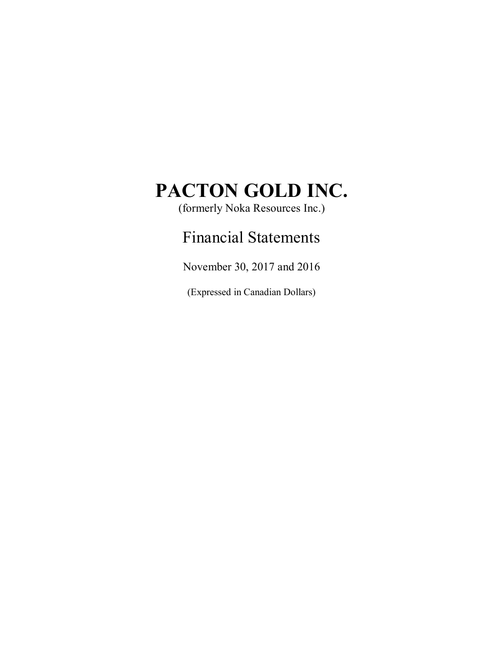(formerly Noka Resources Inc.)

## Financial Statements

November 30, 2017 and 2016

(Expressed in Canadian Dollars)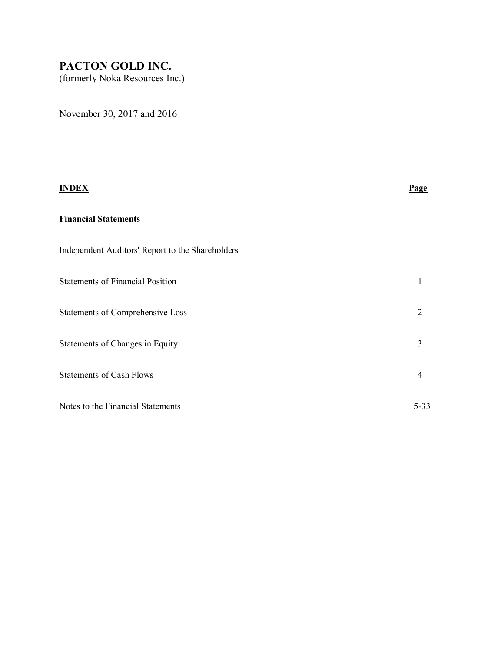(formerly Noka Resources Inc.)

November 30, 2017 and 2016

# **INDEX Page Financial Statements** Independent Auditors' Report to the Shareholders Statements of Financial Position 1 Statements of Comprehensive Loss 2 Statements of Changes in Equity 3 Statements of Cash Flows 4 Notes to the Financial Statements 5-33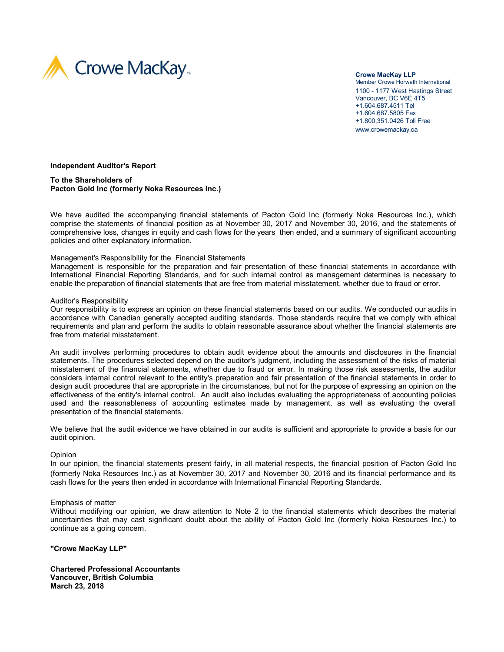

**Crowe MacKay LLP** Member Crowe Horwath International 1100 - 1177 West Hastings Street Vancouver, BC V6E 4T5 +1.604.687.4511 Tel +1.604.687.5805 Fax +1.800.351.0426 Toll Free www.crowemackay.ca

#### **Independent Auditor's Report**

#### **To the Shareholders of Pacton Gold Inc (formerly Noka Resources Inc.)**

We have audited the accompanying financial statements of Pacton Gold Inc (formerly Noka Resources Inc.), which comprise the statements of financial position as at November 30, 2017 and November 30, 2016, and the statements of comprehensive loss, changes in equity and cash flows for the years then ended, and a summary of significant accounting policies and other explanatory information.

#### Management's Responsibility for the Financial Statements

Management is responsible for the preparation and fair presentation of these financial statements in accordance with International Financial Reporting Standards, and for such internal control as management determines is necessary to enable the preparation of financial statements that are free from material misstatement, whether due to fraud or error.

#### Auditor's Responsibility

Our responsibility is to express an opinion on these financial statements based on our audits. We conducted our audits in accordance with Canadian generally accepted auditing standards. Those standards require that we comply with ethical requirements and plan and perform the audits to obtain reasonable assurance about whether the financial statements are free from material misstatement.

An audit involves performing procedures to obtain audit evidence about the amounts and disclosures in the financial statements. The procedures selected depend on the auditor's judgment, including the assessment of the risks of material misstatement of the financial statements, whether due to fraud or error. In making those risk assessments, the auditor considers internal control relevant to the entity's preparation and fair presentation of the financial statements in order to design audit procedures that are appropriate in the circumstances, but not for the purpose of expressing an opinion on the effectiveness of the entity's internal control. An audit also includes evaluating the appropriateness of accounting policies used and the reasonableness of accounting estimates made by management, as well as evaluating the overall presentation of the financial statements.

We believe that the audit evidence we have obtained in our audits is sufficient and appropriate to provide a basis for our audit opinion.

#### Opinion

In our opinion, the financial statements present fairly, in all material respects, the financial position of Pacton Gold Inc (formerly Noka Resources Inc.) as at November 30, 2017 and November 30, 2016 and its financial performance and its cash flows for the years then ended in accordance with International Financial Reporting Standards.

#### Emphasis of matter

Without modifying our opinion, we draw attention to Note 2 to the financial statements which describes the material uncertainties that may cast significant doubt about the ability of Pacton Gold Inc (formerly Noka Resources Inc.) to continue as a going concern.

**"Crowe MacKay LLP"**

**Chartered Professional Accountants Vancouver, British Columbia March 23, 2018**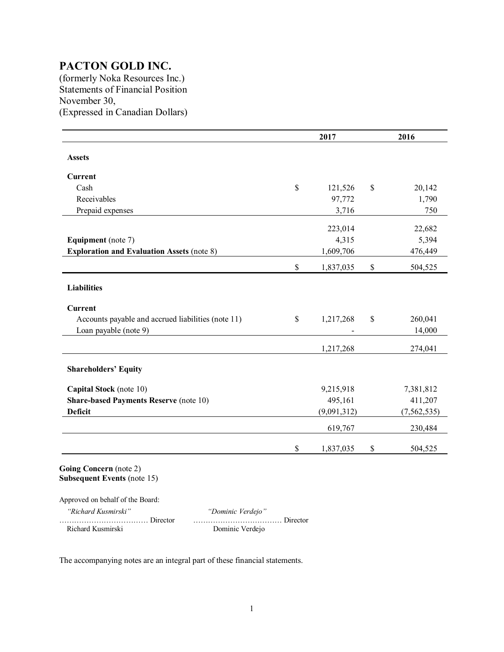(formerly Noka Resources Inc.) Statements of Financial Position November 30, (Expressed in Canadian Dollars)

|                                                    | 2017            |                           | 2016          |
|----------------------------------------------------|-----------------|---------------------------|---------------|
| <b>Assets</b>                                      |                 |                           |               |
| <b>Current</b>                                     |                 |                           |               |
| Cash                                               | \$<br>121,526   | \$                        | 20,142        |
| Receivables                                        | 97,772          |                           | 1,790         |
| Prepaid expenses                                   | 3,716           |                           | 750           |
|                                                    | 223,014         |                           | 22,682        |
| <b>Equipment</b> (note 7)                          | 4,315           |                           | 5,394         |
| <b>Exploration and Evaluation Assets (note 8)</b>  | 1,609,706       |                           | 476,449       |
|                                                    | \$<br>1,837,035 | $\$$                      | 504,525       |
| <b>Liabilities</b>                                 |                 |                           |               |
| <b>Current</b>                                     |                 |                           |               |
| Accounts payable and accrued liabilities (note 11) | \$<br>1,217,268 | $\boldsymbol{\mathsf{S}}$ | 260,041       |
| Loan payable (note 9)                              |                 |                           | 14,000        |
|                                                    | 1,217,268       |                           | 274,041       |
| <b>Shareholders' Equity</b>                        |                 |                           |               |
| Capital Stock (note 10)                            | 9,215,918       |                           | 7,381,812     |
| <b>Share-based Payments Reserve (note 10)</b>      | 495,161         |                           | 411,207       |
| <b>Deficit</b>                                     | (9,091,312)     |                           | (7, 562, 535) |
|                                                    | 619,767         |                           | 230,484       |
|                                                    | \$<br>1,837,035 | $\$$                      | 504,525       |

Approved on behalf of the Board:

……………………………… Director ……………………………… Director Richard Kusmirski Dominic Verdejo

 *"Richard Kusmirski" "Dominic Verdejo"*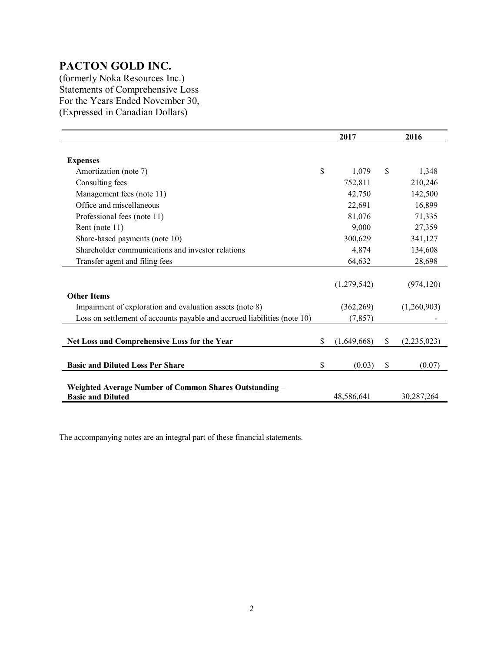(formerly Noka Resources Inc.) Statements of Comprehensive Loss For the Years Ended November 30, (Expressed in Canadian Dollars)

|                                                                                    | 2017              | 2016              |
|------------------------------------------------------------------------------------|-------------------|-------------------|
|                                                                                    |                   |                   |
| <b>Expenses</b>                                                                    |                   |                   |
| Amortization (note 7)                                                              | \$<br>1,079       | \$<br>1,348       |
| Consulting fees                                                                    | 752,811           | 210,246           |
| Management fees (note 11)                                                          | 42,750            | 142,500           |
| Office and miscellaneous                                                           | 22,691            | 16,899            |
| Professional fees (note 11)                                                        | 81,076            | 71,335            |
| Rent (note 11)                                                                     | 9,000             | 27,359            |
| Share-based payments (note 10)                                                     | 300,629           | 341,127           |
| Shareholder communications and investor relations                                  | 4,874             | 134,608           |
| Transfer agent and filing fees                                                     | 64,632            | 28,698            |
|                                                                                    |                   |                   |
|                                                                                    | (1,279,542)       | (974, 120)        |
| <b>Other Items</b>                                                                 |                   |                   |
| Impairment of exploration and evaluation assets (note 8)                           | (362, 269)        | (1,260,903)       |
| Loss on settlement of accounts payable and accrued liabilities (note 10)           | (7, 857)          |                   |
|                                                                                    |                   |                   |
| Net Loss and Comprehensive Loss for the Year                                       | \$<br>(1,649,668) | \$<br>(2,235,023) |
|                                                                                    |                   |                   |
| <b>Basic and Diluted Loss Per Share</b>                                            | \$<br>(0.03)      | \$<br>(0.07)      |
|                                                                                    |                   |                   |
| Weighted Average Number of Common Shares Outstanding -<br><b>Basic and Diluted</b> | 48,586,641        | 30,287,264        |
|                                                                                    |                   |                   |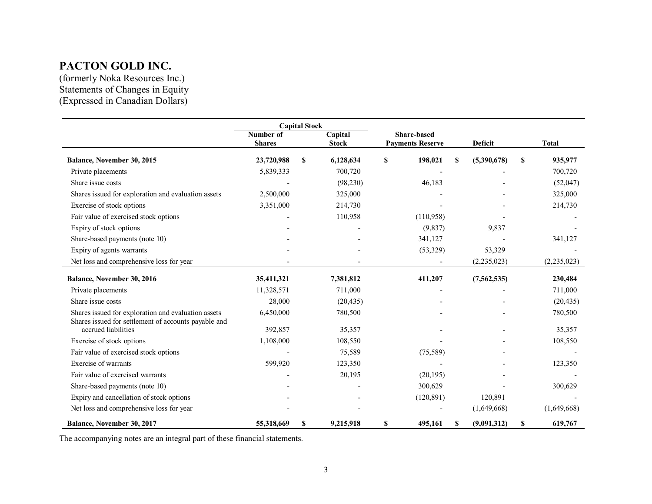(formerly Noka Resources Inc.) Statements of Changes in Equity (Expressed in Canadian Dollars)

|                                                                                                             | <b>Capital Stock</b> |    |                    |    |                         |     |                |               |
|-------------------------------------------------------------------------------------------------------------|----------------------|----|--------------------|----|-------------------------|-----|----------------|---------------|
|                                                                                                             | Number of<br>Capital |    | <b>Share-based</b> |    |                         |     |                |               |
|                                                                                                             | <b>Shares</b>        |    | <b>Stock</b>       |    | <b>Payments Reserve</b> |     | <b>Deficit</b> | <b>Total</b>  |
| Balance, November 30, 2015                                                                                  | 23,720,988           | S  | 6,128,634          | \$ | 198,021                 | \$. | (5,390,678)    | \$<br>935,977 |
| Private placements                                                                                          | 5,839,333            |    | 700,720            |    |                         |     |                | 700,720       |
| Share issue costs                                                                                           |                      |    | (98,230)           |    | 46,183                  |     |                | (52,047)      |
| Shares issued for exploration and evaluation assets                                                         | 2,500,000            |    | 325,000            |    |                         |     |                | 325,000       |
| Exercise of stock options                                                                                   | 3,351,000            |    | 214,730            |    |                         |     |                | 214,730       |
| Fair value of exercised stock options                                                                       |                      |    | 110,958            |    | (110,958)               |     |                |               |
| Expiry of stock options                                                                                     |                      |    |                    |    | (9,837)                 |     | 9,837          |               |
| Share-based payments (note 10)                                                                              |                      |    |                    |    | 341,127                 |     |                | 341,127       |
| Expiry of agents warrants                                                                                   |                      |    |                    |    | (53, 329)               |     | 53,329         |               |
| Net loss and comprehensive loss for year                                                                    |                      |    |                    |    |                         |     | (2, 235, 023)  | (2,235,023)   |
| Balance, November 30, 2016                                                                                  | 35,411,321           |    | 7,381,812          |    | 411,207                 |     | (7,562,535)    | 230,484       |
| Private placements                                                                                          | 11,328,571           |    | 711,000            |    |                         |     |                | 711,000       |
| Share issue costs                                                                                           | 28,000               |    | (20, 435)          |    |                         |     |                | (20, 435)     |
| Shares issued for exploration and evaluation assets<br>Shares issued for settlement of accounts payable and | 6,450,000            |    | 780,500            |    |                         |     |                | 780,500       |
| accrued liabilities                                                                                         | 392,857              |    | 35,357             |    |                         |     |                | 35,357        |
| Exercise of stock options                                                                                   | 1,108,000            |    | 108,550            |    |                         |     |                | 108,550       |
| Fair value of exercised stock options                                                                       |                      |    | 75,589             |    | (75,589)                |     |                |               |
| Exercise of warrants                                                                                        | 599,920              |    | 123,350            |    |                         |     |                | 123,350       |
| Fair value of exercised warrants                                                                            |                      |    | 20,195             |    | (20, 195)               |     |                |               |
| Share-based payments (note 10)                                                                              |                      |    |                    |    | 300,629                 |     |                | 300,629       |
| Expiry and cancellation of stock options                                                                    |                      |    |                    |    | (120, 891)              |     | 120,891        |               |
| Net loss and comprehensive loss for year                                                                    |                      |    |                    |    |                         |     | (1,649,668)    | (1,649,668)   |
| <b>Balance, November 30, 2017</b>                                                                           | 55,318,669           | \$ | 9,215,918          | S  | 495,161                 | \$  | (9,091,312)    | \$<br>619,767 |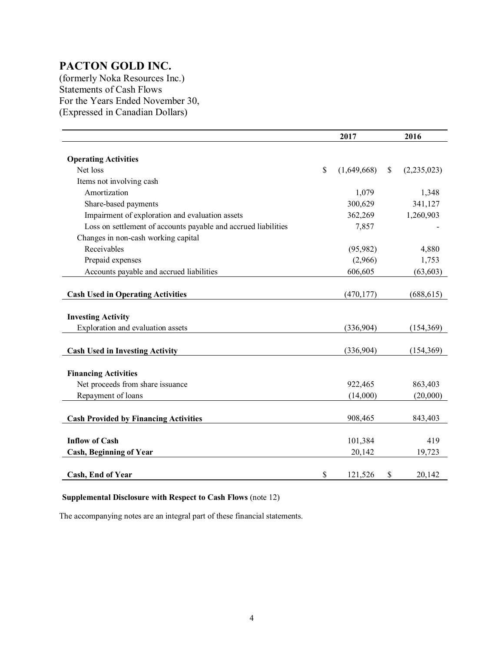(formerly Noka Resources Inc.) Statements of Cash Flows For the Years Ended November 30, (Expressed in Canadian Dollars)

|                                                                | 2017              |              | 2016        |
|----------------------------------------------------------------|-------------------|--------------|-------------|
|                                                                |                   |              |             |
| <b>Operating Activities</b>                                    |                   |              |             |
| Net loss                                                       | \$<br>(1,649,668) | $\mathbb{S}$ | (2,235,023) |
| Items not involving cash                                       |                   |              |             |
| Amortization                                                   | 1,079             |              | 1,348       |
| Share-based payments                                           | 300,629           |              | 341,127     |
| Impairment of exploration and evaluation assets                | 362,269           |              | 1,260,903   |
| Loss on settlement of accounts payable and accrued liabilities | 7,857             |              |             |
| Changes in non-cash working capital                            |                   |              |             |
| Receivables                                                    | (95, 982)         |              | 4,880       |
| Prepaid expenses                                               | (2,966)           |              | 1,753       |
| Accounts payable and accrued liabilities                       | 606,605           |              | (63, 603)   |
|                                                                |                   |              |             |
| <b>Cash Used in Operating Activities</b>                       | (470, 177)        |              | (688, 615)  |
|                                                                |                   |              |             |
| <b>Investing Activity</b>                                      |                   |              |             |
| Exploration and evaluation assets                              | (336,904)         |              | (154, 369)  |
|                                                                |                   |              |             |
| <b>Cash Used in Investing Activity</b>                         | (336,904)         |              | (154, 369)  |
|                                                                |                   |              |             |
| <b>Financing Activities</b>                                    |                   |              |             |
| Net proceeds from share issuance                               | 922,465           |              | 863,403     |
| Repayment of loans                                             | (14,000)          |              | (20,000)    |
|                                                                |                   |              |             |
| <b>Cash Provided by Financing Activities</b>                   | 908,465           |              | 843,403     |
|                                                                |                   |              |             |
| <b>Inflow of Cash</b>                                          | 101,384           |              | 419         |
| <b>Cash, Beginning of Year</b>                                 | 20,142            |              | 19,723      |
|                                                                |                   |              |             |
| Cash, End of Year                                              | \$<br>121,526     | \$           | 20,142      |

#### **Supplemental Disclosure with Respect to Cash Flows** (note 12)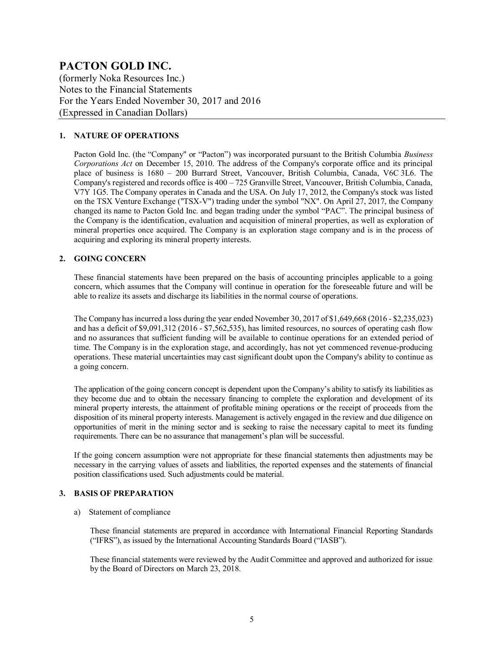(formerly Noka Resources Inc.) Notes to the Financial Statements For the Years Ended November 30, 2017 and 2016 (Expressed in Canadian Dollars)

#### **1. NATURE OF OPERATIONS**

Pacton Gold Inc. (the "Company" or "Pacton") was incorporated pursuant to the British Columbia *Business Corporations Act* on December 15, 2010. The address of the Company's corporate office and its principal place of business is 1680 – 200 Burrard Street, Vancouver, British Columbia, Canada, V6C 3L6. The Company's registered and records office is 400 – 725 Granville Street, Vancouver, British Columbia, Canada, V7Y 1G5. The Company operates in Canada and the USA. On July 17, 2012, the Company's stock was listed on the TSX Venture Exchange ("TSX-V") trading under the symbol "NX". On April 27, 2017, the Company changed its name to Pacton Gold Inc. and began trading under the symbol "PAC". The principal business of the Company is the identification, evaluation and acquisition of mineral properties, as well as exploration of mineral properties once acquired. The Company is an exploration stage company and is in the process of acquiring and exploring its mineral property interests.

#### **2. GOING CONCERN**

These financial statements have been prepared on the basis of accounting principles applicable to a going concern, which assumes that the Company will continue in operation for the foreseeable future and will be able to realize its assets and discharge its liabilities in the normal course of operations.

The Company has incurred a loss during the year ended November 30, 2017 of \$1,649,668 (2016 - \$2,235,023) and has a deficit of \$9,091,312 (2016 - \$7,562,535), has limited resources, no sources of operating cash flow and no assurances that sufficient funding will be available to continue operations for an extended period of time. The Company is in the exploration stage, and accordingly, has not yet commenced revenue-producing operations. These material uncertainties may cast significant doubt upon the Company's ability to continue as a going concern.

The application of the going concern concept is dependent upon the Company's ability to satisfy its liabilities as they become due and to obtain the necessary financing to complete the exploration and development of its mineral property interests, the attainment of profitable mining operations or the receipt of proceeds from the disposition of its mineral property interests. Management is actively engaged in the review and due diligence on opportunities of merit in the mining sector and is seeking to raise the necessary capital to meet its funding requirements. There can be no assurance that management's plan will be successful.

If the going concern assumption were not appropriate for these financial statements then adjustments may be necessary in the carrying values of assets and liabilities, the reported expenses and the statements of financial position classifications used. Such adjustments could be material.

#### **3. BASIS OF PREPARATION**

a) Statement of compliance

These financial statements are prepared in accordance with International Financial Reporting Standards ("IFRS"), as issued by the International Accounting Standards Board ("IASB").

These financial statements were reviewed by the Audit Committee and approved and authorized for issue by the Board of Directors on March 23, 2018.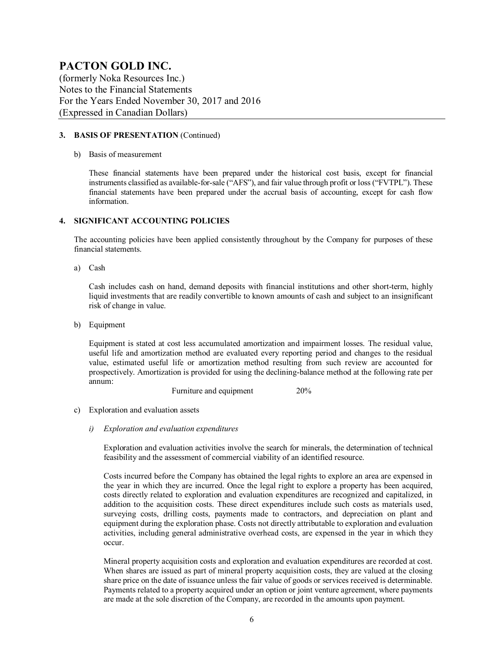(formerly Noka Resources Inc.) Notes to the Financial Statements For the Years Ended November 30, 2017 and 2016 (Expressed in Canadian Dollars)

#### **3. BASIS OF PRESENTATION** (Continued)

b) Basis of measurement

These financial statements have been prepared under the historical cost basis, except for financial instruments classified as available-for-sale ("AFS"), and fair value through profit or loss ("FVTPL"). These financial statements have been prepared under the accrual basis of accounting, except for cash flow information.

#### **4. SIGNIFICANT ACCOUNTING POLICIES**

The accounting policies have been applied consistently throughout by the Company for purposes of these financial statements.

a) Cash

Cash includes cash on hand, demand deposits with financial institutions and other short-term, highly liquid investments that are readily convertible to known amounts of cash and subject to an insignificant risk of change in value.

b) Equipment

Equipment is stated at cost less accumulated amortization and impairment losses. The residual value, useful life and amortization method are evaluated every reporting period and changes to the residual value, estimated useful life or amortization method resulting from such review are accounted for prospectively. Amortization is provided for using the declining-balance method at the following rate per annum:

Furniture and equipment 20%

- c) Exploration and evaluation assets
	- *i) Exploration and evaluation expenditures*

Exploration and evaluation activities involve the search for minerals, the determination of technical feasibility and the assessment of commercial viability of an identified resource.

Costs incurred before the Company has obtained the legal rights to explore an area are expensed in the year in which they are incurred. Once the legal right to explore a property has been acquired, costs directly related to exploration and evaluation expenditures are recognized and capitalized, in addition to the acquisition costs. These direct expenditures include such costs as materials used, surveying costs, drilling costs, payments made to contractors, and depreciation on plant and equipment during the exploration phase. Costs not directly attributable to exploration and evaluation activities, including general administrative overhead costs, are expensed in the year in which they occur.

Mineral property acquisition costs and exploration and evaluation expenditures are recorded at cost. When shares are issued as part of mineral property acquisition costs, they are valued at the closing share price on the date of issuance unless the fair value of goods or services received is determinable. Payments related to a property acquired under an option or joint venture agreement, where payments are made at the sole discretion of the Company, are recorded in the amounts upon payment.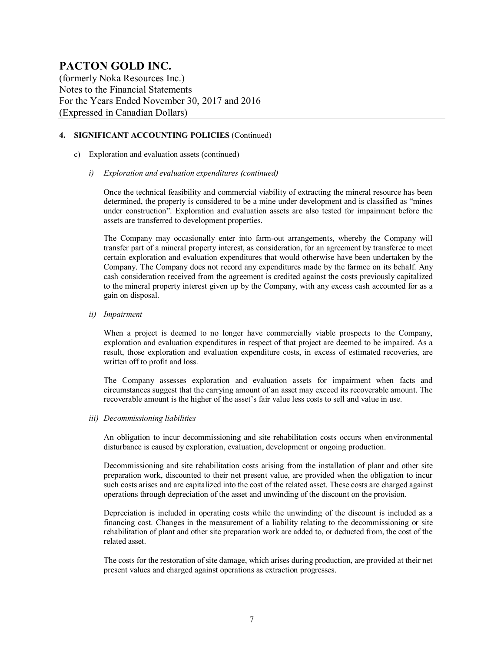(formerly Noka Resources Inc.) Notes to the Financial Statements For the Years Ended November 30, 2017 and 2016 (Expressed in Canadian Dollars)

#### **4. SIGNIFICANT ACCOUNTING POLICIES** (Continued)

c) Exploration and evaluation assets (continued)

#### *i) Exploration and evaluation expenditures (continued)*

Once the technical feasibility and commercial viability of extracting the mineral resource has been determined, the property is considered to be a mine under development and is classified as "mines under construction". Exploration and evaluation assets are also tested for impairment before the assets are transferred to development properties.

The Company may occasionally enter into farm-out arrangements, whereby the Company will transfer part of a mineral property interest, as consideration, for an agreement by transferee to meet certain exploration and evaluation expenditures that would otherwise have been undertaken by the Company. The Company does not record any expenditures made by the farmee on its behalf. Any cash consideration received from the agreement is credited against the costs previously capitalized to the mineral property interest given up by the Company, with any excess cash accounted for as a gain on disposal.

#### *ii) Impairment*

When a project is deemed to no longer have commercially viable prospects to the Company, exploration and evaluation expenditures in respect of that project are deemed to be impaired. As a result, those exploration and evaluation expenditure costs, in excess of estimated recoveries, are written off to profit and loss.

The Company assesses exploration and evaluation assets for impairment when facts and circumstances suggest that the carrying amount of an asset may exceed its recoverable amount. The recoverable amount is the higher of the asset's fair value less costs to sell and value in use.

#### *iii) Decommissioning liabilities*

An obligation to incur decommissioning and site rehabilitation costs occurs when environmental disturbance is caused by exploration, evaluation, development or ongoing production.

Decommissioning and site rehabilitation costs arising from the installation of plant and other site preparation work, discounted to their net present value, are provided when the obligation to incur such costs arises and are capitalized into the cost of the related asset. These costs are charged against operations through depreciation of the asset and unwinding of the discount on the provision.

Depreciation is included in operating costs while the unwinding of the discount is included as a financing cost. Changes in the measurement of a liability relating to the decommissioning or site rehabilitation of plant and other site preparation work are added to, or deducted from, the cost of the related asset.

The costs for the restoration of site damage, which arises during production, are provided at their net present values and charged against operations as extraction progresses.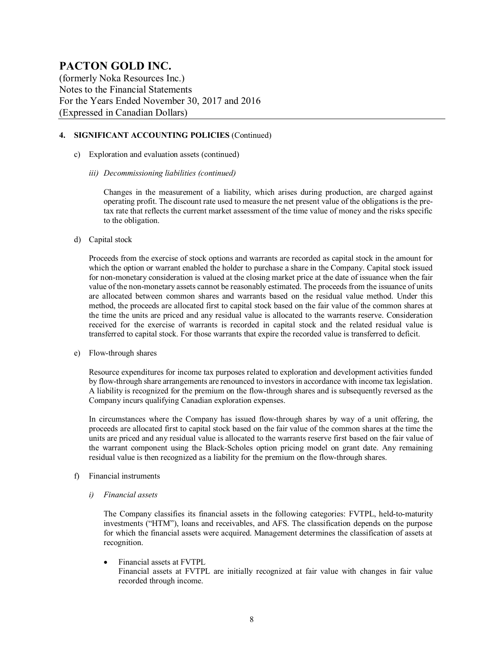(formerly Noka Resources Inc.) Notes to the Financial Statements For the Years Ended November 30, 2017 and 2016 (Expressed in Canadian Dollars)

#### **4. SIGNIFICANT ACCOUNTING POLICIES** (Continued)

- c) Exploration and evaluation assets (continued)
	- *iii) Decommissioning liabilities (continued)*

Changes in the measurement of a liability, which arises during production, are charged against operating profit. The discount rate used to measure the net present value of the obligations is the pretax rate that reflects the current market assessment of the time value of money and the risks specific to the obligation.

d) Capital stock

Proceeds from the exercise of stock options and warrants are recorded as capital stock in the amount for which the option or warrant enabled the holder to purchase a share in the Company. Capital stock issued for non-monetary consideration is valued at the closing market price at the date of issuance when the fair value of the non-monetary assets cannot be reasonably estimated. The proceeds from the issuance of units are allocated between common shares and warrants based on the residual value method. Under this method, the proceeds are allocated first to capital stock based on the fair value of the common shares at the time the units are priced and any residual value is allocated to the warrants reserve. Consideration received for the exercise of warrants is recorded in capital stock and the related residual value is transferred to capital stock. For those warrants that expire the recorded value is transferred to deficit.

e) Flow-through shares

Resource expenditures for income tax purposes related to exploration and development activities funded by flow-through share arrangements are renounced to investors in accordance with income tax legislation. A liability is recognized for the premium on the flow-through shares and is subsequently reversed as the Company incurs qualifying Canadian exploration expenses.

In circumstances where the Company has issued flow-through shares by way of a unit offering, the proceeds are allocated first to capital stock based on the fair value of the common shares at the time the units are priced and any residual value is allocated to the warrants reserve first based on the fair value of the warrant component using the Black-Scholes option pricing model on grant date. Any remaining residual value is then recognized as a liability for the premium on the flow-through shares.

- f) Financial instruments
	- *i) Financial assets*

The Company classifies its financial assets in the following categories: FVTPL, held-to-maturity investments ("HTM"), loans and receivables, and AFS. The classification depends on the purpose for which the financial assets were acquired. Management determines the classification of assets at recognition.

· Financial assets at FVTPL Financial assets at FVTPL are initially recognized at fair value with changes in fair value recorded through income.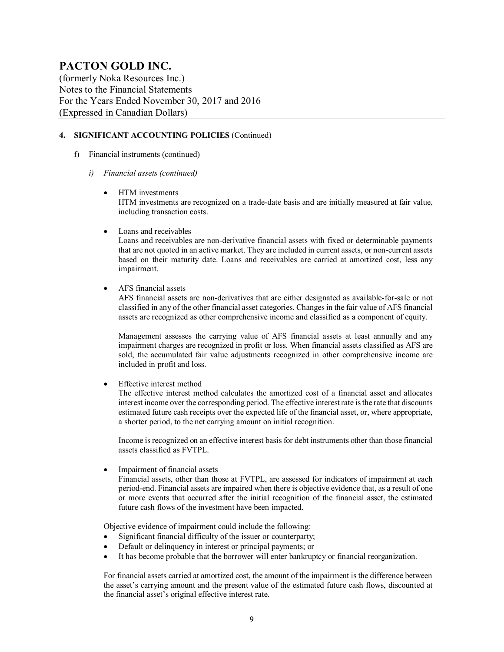(formerly Noka Resources Inc.) Notes to the Financial Statements For the Years Ended November 30, 2017 and 2016 (Expressed in Canadian Dollars)

#### **4. SIGNIFICANT ACCOUNTING POLICIES** (Continued)

- f) Financial instruments (continued)
	- *i) Financial assets (continued)*
		- HTM investments

HTM investments are recognized on a trade-date basis and are initially measured at fair value, including transaction costs.

• Loans and receivables

Loans and receivables are non-derivative financial assets with fixed or determinable payments that are not quoted in an active market. They are included in current assets, or non-current assets based on their maturity date. Loans and receivables are carried at amortized cost, less any impairment.

• AFS financial assets

AFS financial assets are non-derivatives that are either designated as available-for-sale or not classified in any of the other financial asset categories. Changes in the fair value of AFS financial assets are recognized as other comprehensive income and classified as a component of equity.

Management assesses the carrying value of AFS financial assets at least annually and any impairment charges are recognized in profit or loss. When financial assets classified as AFS are sold, the accumulated fair value adjustments recognized in other comprehensive income are included in profit and loss.

• Effective interest method

The effective interest method calculates the amortized cost of a financial asset and allocates interest income over the corresponding period. The effective interest rate is the rate that discounts estimated future cash receipts over the expected life of the financial asset, or, where appropriate, a shorter period, to the net carrying amount on initial recognition.

Income is recognized on an effective interest basis for debt instruments other than those financial assets classified as FVTPL.

• Impairment of financial assets

Financial assets, other than those at FVTPL, are assessed for indicators of impairment at each period-end. Financial assets are impaired when there is objective evidence that, as a result of one or more events that occurred after the initial recognition of the financial asset, the estimated future cash flows of the investment have been impacted.

Objective evidence of impairment could include the following:

- · Significant financial difficulty of the issuer or counterparty;
- · Default or delinquency in interest or principal payments; or
- · It has become probable that the borrower will enter bankruptcy or financial reorganization.

For financial assets carried at amortized cost, the amount of the impairment is the difference between the asset's carrying amount and the present value of the estimated future cash flows, discounted at the financial asset's original effective interest rate.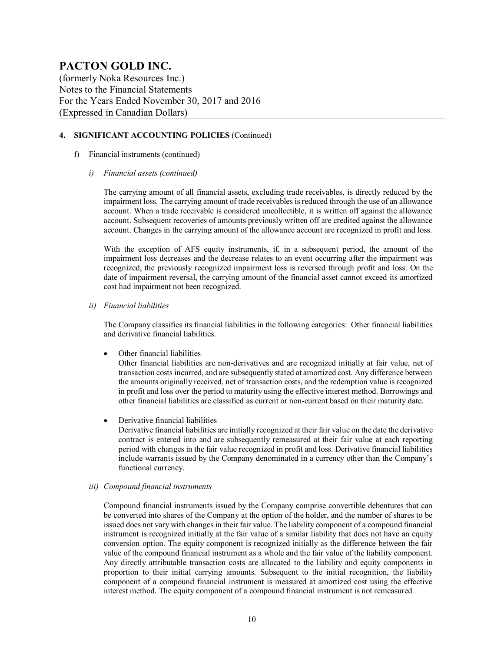(formerly Noka Resources Inc.) Notes to the Financial Statements For the Years Ended November 30, 2017 and 2016 (Expressed in Canadian Dollars)

#### **4. SIGNIFICANT ACCOUNTING POLICIES** (Continued)

#### f) Financial instruments (continued)

#### *i) Financial assets (continued)*

The carrying amount of all financial assets, excluding trade receivables, is directly reduced by the impairment loss. The carrying amount of trade receivables is reduced through the use of an allowance account. When a trade receivable is considered uncollectible, it is written off against the allowance account. Subsequent recoveries of amounts previously written off are credited against the allowance account. Changes in the carrying amount of the allowance account are recognized in profit and loss.

With the exception of AFS equity instruments, if, in a subsequent period, the amount of the impairment loss decreases and the decrease relates to an event occurring after the impairment was recognized, the previously recognized impairment loss is reversed through profit and loss. On the date of impairment reversal, the carrying amount of the financial asset cannot exceed its amortized cost had impairment not been recognized.

#### *ii) Financial liabilities*

The Company classifies its financial liabilities in the following categories: Other financial liabilities and derivative financial liabilities.

· Other financial liabilities

Other financial liabilities are non-derivatives and are recognized initially at fair value, net of transaction costs incurred, and are subsequently stated at amortized cost. Any difference between the amounts originally received, net of transaction costs, and the redemption value is recognized in profit and loss over the period to maturity using the effective interest method. Borrowings and other financial liabilities are classified as current or non-current based on their maturity date.

· Derivative financial liabilities

Derivative financial liabilities are initially recognized at their fair value on the date the derivative contract is entered into and are subsequently remeasured at their fair value at each reporting period with changes in the fair value recognized in profit and loss. Derivative financial liabilities include warrants issued by the Company denominated in a currency other than the Company's functional currency.

#### *iii) Compound financial instruments*

Compound financial instruments issued by the Company comprise convertible debentures that can be converted into shares of the Company at the option of the holder, and the number of shares to be issued does not vary with changes in their fair value. The liability component of a compound financial instrument is recognized initially at the fair value of a similar liability that does not have an equity conversion option. The equity component is recognized initially as the difference between the fair value of the compound financial instrument as a whole and the fair value of the liability component. Any directly attributable transaction costs are allocated to the liability and equity components in proportion to their initial carrying amounts. Subsequent to the initial recognition, the liability component of a compound financial instrument is measured at amortized cost using the effective interest method. The equity component of a compound financial instrument is not remeasured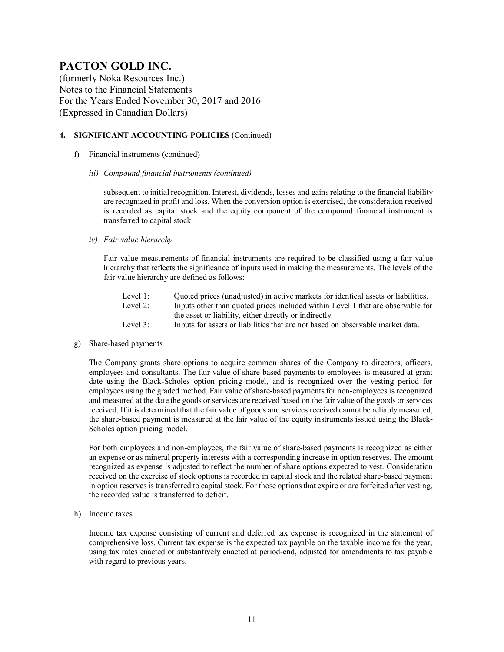(formerly Noka Resources Inc.) Notes to the Financial Statements For the Years Ended November 30, 2017 and 2016 (Expressed in Canadian Dollars)

#### **4. SIGNIFICANT ACCOUNTING POLICIES** (Continued)

- f) Financial instruments (continued)
	- *iii) Compound financial instruments (continued)*

subsequent to initial recognition. Interest, dividends, losses and gains relating to the financial liability are recognized in profit and loss. When the conversion option is exercised, the consideration received is recorded as capital stock and the equity component of the compound financial instrument is transferred to capital stock.

#### *iv) Fair value hierarchy*

Fair value measurements of financial instruments are required to be classified using a fair value hierarchy that reflects the significance of inputs used in making the measurements. The levels of the fair value hierarchy are defined as follows:

| Level $1$ : | Quoted prices (unadjusted) in active markets for identical assets or liabilities. |
|-------------|-----------------------------------------------------------------------------------|
| Level 2:    | Inputs other than quoted prices included within Level 1 that are observable for   |
|             | the asset or liability, either directly or indirectly.                            |
| Level $3$ : | Inputs for assets or liabilities that are not based on observable market data.    |

#### g) Share-based payments

The Company grants share options to acquire common shares of the Company to directors, officers, employees and consultants. The fair value of share-based payments to employees is measured at grant date using the Black-Scholes option pricing model, and is recognized over the vesting period for employees using the graded method. Fair value of share-based payments for non-employees is recognized and measured at the date the goods or services are received based on the fair value of the goods or services received. If it is determined that the fair value of goods and services received cannot be reliably measured, the share-based payment is measured at the fair value of the equity instruments issued using the Black-Scholes option pricing model.

For both employees and non-employees, the fair value of share-based payments is recognized as either an expense or as mineral property interests with a corresponding increase in option reserves. The amount recognized as expense is adjusted to reflect the number of share options expected to vest. Consideration received on the exercise of stock options is recorded in capital stock and the related share-based payment in option reserves is transferred to capital stock. For those options that expire or are forfeited after vesting, the recorded value is transferred to deficit.

h) Income taxes

Income tax expense consisting of current and deferred tax expense is recognized in the statement of comprehensive loss. Current tax expense is the expected tax payable on the taxable income for the year, using tax rates enacted or substantively enacted at period-end, adjusted for amendments to tax payable with regard to previous years.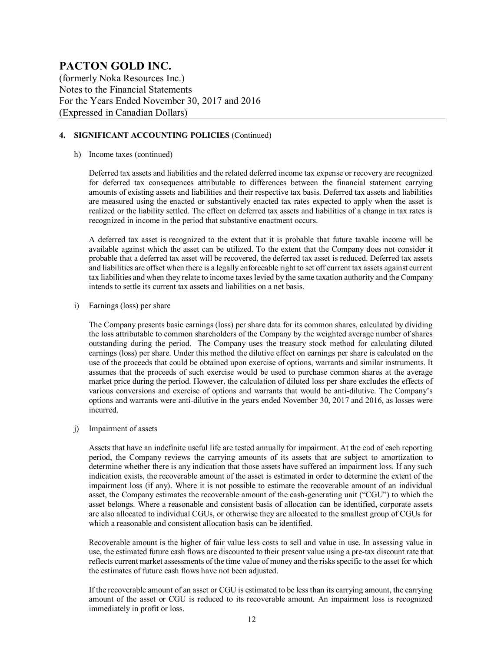(formerly Noka Resources Inc.) Notes to the Financial Statements For the Years Ended November 30, 2017 and 2016 (Expressed in Canadian Dollars)

#### **4. SIGNIFICANT ACCOUNTING POLICIES** (Continued)

h) Income taxes (continued)

Deferred tax assets and liabilities and the related deferred income tax expense or recovery are recognized for deferred tax consequences attributable to differences between the financial statement carrying amounts of existing assets and liabilities and their respective tax basis. Deferred tax assets and liabilities are measured using the enacted or substantively enacted tax rates expected to apply when the asset is realized or the liability settled. The effect on deferred tax assets and liabilities of a change in tax rates is recognized in income in the period that substantive enactment occurs.

A deferred tax asset is recognized to the extent that it is probable that future taxable income will be available against which the asset can be utilized. To the extent that the Company does not consider it probable that a deferred tax asset will be recovered, the deferred tax asset is reduced. Deferred tax assets and liabilities are offset when there is a legally enforceable right to set off current tax assets against current tax liabilities and when they relate to income taxes levied by the same taxation authority and the Company intends to settle its current tax assets and liabilities on a net basis.

i) Earnings (loss) per share

The Company presents basic earnings (loss) per share data for its common shares, calculated by dividing the loss attributable to common shareholders of the Company by the weighted average number of shares outstanding during the period. The Company uses the treasury stock method for calculating diluted earnings (loss) per share. Under this method the dilutive effect on earnings per share is calculated on the use of the proceeds that could be obtained upon exercise of options, warrants and similar instruments. It assumes that the proceeds of such exercise would be used to purchase common shares at the average market price during the period. However, the calculation of diluted loss per share excludes the effects of various conversions and exercise of options and warrants that would be anti-dilutive. The Company's options and warrants were anti-dilutive in the years ended November 30, 2017 and 2016, as losses were incurred.

j) Impairment of assets

Assets that have an indefinite useful life are tested annually for impairment. At the end of each reporting period, the Company reviews the carrying amounts of its assets that are subject to amortization to determine whether there is any indication that those assets have suffered an impairment loss. If any such indication exists, the recoverable amount of the asset is estimated in order to determine the extent of the impairment loss (if any). Where it is not possible to estimate the recoverable amount of an individual asset, the Company estimates the recoverable amount of the cash-generating unit ("CGU") to which the asset belongs. Where a reasonable and consistent basis of allocation can be identified, corporate assets are also allocated to individual CGUs, or otherwise they are allocated to the smallest group of CGUs for which a reasonable and consistent allocation basis can be identified.

Recoverable amount is the higher of fair value less costs to sell and value in use. In assessing value in use, the estimated future cash flows are discounted to their present value using a pre-tax discount rate that reflects current market assessments of the time value of money and the risks specific to the asset for which the estimates of future cash flows have not been adjusted.

If the recoverable amount of an asset or CGU is estimated to be less than its carrying amount, the carrying amount of the asset or CGU is reduced to its recoverable amount. An impairment loss is recognized immediately in profit or loss.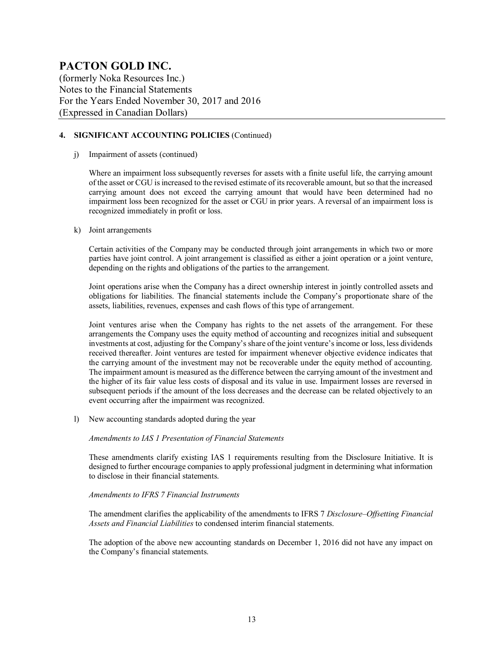(formerly Noka Resources Inc.) Notes to the Financial Statements For the Years Ended November 30, 2017 and 2016 (Expressed in Canadian Dollars)

#### **4. SIGNIFICANT ACCOUNTING POLICIES** (Continued)

j) Impairment of assets (continued)

Where an impairment loss subsequently reverses for assets with a finite useful life, the carrying amount of the asset or CGU is increased to the revised estimate of its recoverable amount, but so that the increased carrying amount does not exceed the carrying amount that would have been determined had no impairment loss been recognized for the asset or CGU in prior years. A reversal of an impairment loss is recognized immediately in profit or loss.

#### k) Joint arrangements

Certain activities of the Company may be conducted through joint arrangements in which two or more parties have joint control. A joint arrangement is classified as either a joint operation or a joint venture, depending on the rights and obligations of the parties to the arrangement.

Joint operations arise when the Company has a direct ownership interest in jointly controlled assets and obligations for liabilities. The financial statements include the Company's proportionate share of the assets, liabilities, revenues, expenses and cash flows of this type of arrangement.

Joint ventures arise when the Company has rights to the net assets of the arrangement. For these arrangements the Company uses the equity method of accounting and recognizes initial and subsequent investments at cost, adjusting for the Company's share of the joint venture's income or loss, less dividends received thereafter. Joint ventures are tested for impairment whenever objective evidence indicates that the carrying amount of the investment may not be recoverable under the equity method of accounting. The impairment amount is measured as the difference between the carrying amount of the investment and the higher of its fair value less costs of disposal and its value in use. Impairment losses are reversed in subsequent periods if the amount of the loss decreases and the decrease can be related objectively to an event occurring after the impairment was recognized.

l) New accounting standards adopted during the year

#### *Amendments to IAS 1 Presentation of Financial Statements*

These amendments clarify existing IAS 1 requirements resulting from the Disclosure Initiative. It is designed to further encourage companies to apply professional judgment in determining what information to disclose in their financial statements.

#### *Amendments to IFRS 7 Financial Instruments*

The amendment clarifies the applicability of the amendments to IFRS 7 *Disclosure–Offsetting Financial Assets and Financial Liabilities* to condensed interim financial statements.

The adoption of the above new accounting standards on December 1, 2016 did not have any impact on the Company's financial statements.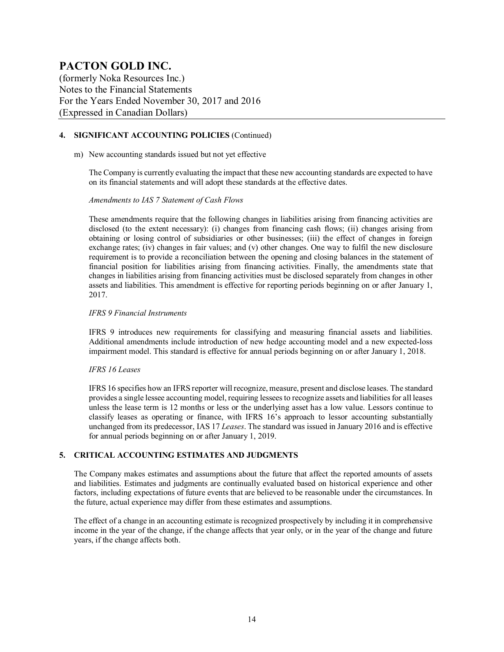(formerly Noka Resources Inc.) Notes to the Financial Statements For the Years Ended November 30, 2017 and 2016 (Expressed in Canadian Dollars)

#### **4. SIGNIFICANT ACCOUNTING POLICIES** (Continued)

m) New accounting standards issued but not yet effective

The Company is currently evaluating the impact that these new accounting standards are expected to have on its financial statements and will adopt these standards at the effective dates.

#### *Amendments to IAS 7 Statement of Cash Flows*

These amendments require that the following changes in liabilities arising from financing activities are disclosed (to the extent necessary): (i) changes from financing cash flows; (ii) changes arising from obtaining or losing control of subsidiaries or other businesses; (iii) the effect of changes in foreign exchange rates; (iv) changes in fair values; and (v) other changes. One way to fulfil the new disclosure requirement is to provide a reconciliation between the opening and closing balances in the statement of financial position for liabilities arising from financing activities. Finally, the amendments state that changes in liabilities arising from financing activities must be disclosed separately from changes in other assets and liabilities. This amendment is effective for reporting periods beginning on or after January 1, 2017.

#### *IFRS 9 Financial Instruments*

IFRS 9 introduces new requirements for classifying and measuring financial assets and liabilities. Additional amendments include introduction of new hedge accounting model and a new expected-loss impairment model. This standard is effective for annual periods beginning on or after January 1, 2018.

#### *IFRS 16 Leases*

IFRS 16 specifies how an IFRS reporter will recognize, measure, present and disclose leases. The standard provides a single lessee accounting model, requiring lessees to recognize assets and liabilities for all leases unless the lease term is 12 months or less or the underlying asset has a low value. Lessors continue to classify leases as operating or finance, with IFRS 16's approach to lessor accounting substantially unchanged from its predecessor, IAS 17 *Leases*. The standard was issued in January 2016 and is effective for annual periods beginning on or after January 1, 2019.

#### **5. CRITICAL ACCOUNTING ESTIMATES AND JUDGMENTS**

The Company makes estimates and assumptions about the future that affect the reported amounts of assets and liabilities. Estimates and judgments are continually evaluated based on historical experience and other factors, including expectations of future events that are believed to be reasonable under the circumstances. In the future, actual experience may differ from these estimates and assumptions.

The effect of a change in an accounting estimate is recognized prospectively by including it in comprehensive income in the year of the change, if the change affects that year only, or in the year of the change and future years, if the change affects both.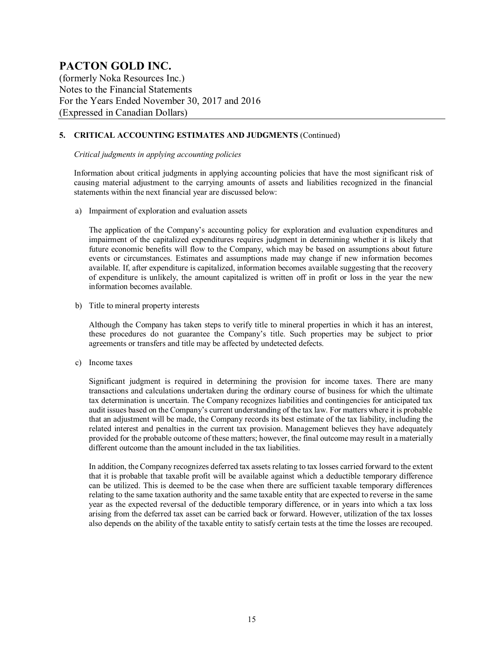(formerly Noka Resources Inc.) Notes to the Financial Statements For the Years Ended November 30, 2017 and 2016 (Expressed in Canadian Dollars)

#### **5. CRITICAL ACCOUNTING ESTIMATES AND JUDGMENTS** (Continued)

*Critical judgments in applying accounting policies*

Information about critical judgments in applying accounting policies that have the most significant risk of causing material adjustment to the carrying amounts of assets and liabilities recognized in the financial statements within the next financial year are discussed below:

a) Impairment of exploration and evaluation assets

The application of the Company's accounting policy for exploration and evaluation expenditures and impairment of the capitalized expenditures requires judgment in determining whether it is likely that future economic benefits will flow to the Company, which may be based on assumptions about future events or circumstances. Estimates and assumptions made may change if new information becomes available. If, after expenditure is capitalized, information becomes available suggesting that the recovery of expenditure is unlikely, the amount capitalized is written off in profit or loss in the year the new information becomes available.

b) Title to mineral property interests

Although the Company has taken steps to verify title to mineral properties in which it has an interest, these procedures do not guarantee the Company's title. Such properties may be subject to prior agreements or transfers and title may be affected by undetected defects.

c) Income taxes

Significant judgment is required in determining the provision for income taxes. There are many transactions and calculations undertaken during the ordinary course of business for which the ultimate tax determination is uncertain. The Company recognizes liabilities and contingencies for anticipated tax audit issues based on the Company's current understanding of the tax law. For matters where it is probable that an adjustment will be made, the Company records its best estimate of the tax liability, including the related interest and penalties in the current tax provision. Management believes they have adequately provided for the probable outcome of these matters; however, the final outcome may result in a materially different outcome than the amount included in the tax liabilities.

In addition, the Company recognizes deferred tax assets relating to tax losses carried forward to the extent that it is probable that taxable profit will be available against which a deductible temporary difference can be utilized. This is deemed to be the case when there are sufficient taxable temporary differences relating to the same taxation authority and the same taxable entity that are expected to reverse in the same year as the expected reversal of the deductible temporary difference, or in years into which a tax loss arising from the deferred tax asset can be carried back or forward. However, utilization of the tax losses also depends on the ability of the taxable entity to satisfy certain tests at the time the losses are recouped.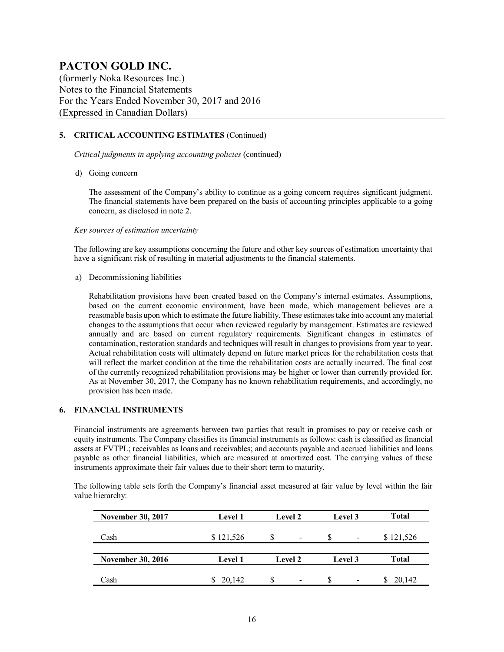(formerly Noka Resources Inc.) Notes to the Financial Statements For the Years Ended November 30, 2017 and 2016 (Expressed in Canadian Dollars)

#### **5. CRITICAL ACCOUNTING ESTIMATES** (Continued)

*Critical judgments in applying accounting policies* (continued)

#### d) Going concern

The assessment of the Company's ability to continue as a going concern requires significant judgment. The financial statements have been prepared on the basis of accounting principles applicable to a going concern, as disclosed in note 2.

#### *Key sources of estimation uncertainty*

The following are key assumptions concerning the future and other key sources of estimation uncertainty that have a significant risk of resulting in material adjustments to the financial statements.

a) Decommissioning liabilities

Rehabilitation provisions have been created based on the Company's internal estimates. Assumptions, based on the current economic environment, have been made, which management believes are a reasonable basis upon which to estimate the future liability. These estimates take into account any material changes to the assumptions that occur when reviewed regularly by management. Estimates are reviewed annually and are based on current regulatory requirements. Significant changes in estimates of contamination, restoration standards and techniques will result in changes to provisions from year to year. Actual rehabilitation costs will ultimately depend on future market prices for the rehabilitation costs that will reflect the market condition at the time the rehabilitation costs are actually incurred. The final cost of the currently recognized rehabilitation provisions may be higher or lower than currently provided for. As at November 30, 2017, the Company has no known rehabilitation requirements, and accordingly, no provision has been made.

#### **6. FINANCIAL INSTRUMENTS**

Financial instruments are agreements between two parties that result in promises to pay or receive cash or equity instruments. The Company classifies its financial instruments as follows: cash is classified as financial assets at FVTPL; receivables as loans and receivables; and accounts payable and accrued liabilities and loans payable as other financial liabilities, which are measured at amortized cost. The carrying values of these instruments approximate their fair values due to their short term to maturity.

The following table sets forth the Company's financial asset measured at fair value by level within the fair value hierarchy:

| <b>November 30, 2017</b> | <b>Level 1</b> | Level 2                       | Level 3                  | <b>Total</b> |
|--------------------------|----------------|-------------------------------|--------------------------|--------------|
| Cash                     | \$121,526      | S<br>-                        | $\overline{\phantom{a}}$ | \$121,526    |
|                          |                |                               |                          |              |
| <b>November 30, 2016</b> | <b>Level 1</b> | <b>Level 2</b>                | Level 3                  | <b>Total</b> |
|                          |                |                               |                          |              |
| Cash                     | 20,142         | S<br>$\overline{\phantom{a}}$ | $\overline{\phantom{0}}$ | 20,142       |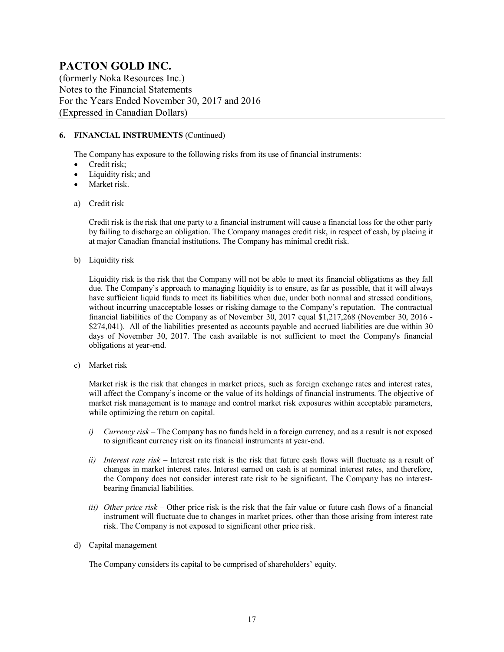(formerly Noka Resources Inc.) Notes to the Financial Statements For the Years Ended November 30, 2017 and 2016 (Expressed in Canadian Dollars)

#### **6. FINANCIAL INSTRUMENTS** (Continued)

The Company has exposure to the following risks from its use of financial instruments:

- Credit risk;
- Liquidity risk; and
- Market risk.
- a) Credit risk

Credit risk is the risk that one party to a financial instrument will cause a financial loss for the other party by failing to discharge an obligation. The Company manages credit risk, in respect of cash, by placing it at major Canadian financial institutions. The Company has minimal credit risk.

b) Liquidity risk

Liquidity risk is the risk that the Company will not be able to meet its financial obligations as they fall due. The Company's approach to managing liquidity is to ensure, as far as possible, that it will always have sufficient liquid funds to meet its liabilities when due, under both normal and stressed conditions, without incurring unacceptable losses or risking damage to the Company's reputation. The contractual financial liabilities of the Company as of November 30, 2017 equal \$1,217,268 (November 30, 2016 - \$274,041). All of the liabilities presented as accounts payable and accrued liabilities are due within 30 days of November 30, 2017. The cash available is not sufficient to meet the Company's financial obligations at year-end.

c) Market risk

Market risk is the risk that changes in market prices, such as foreign exchange rates and interest rates, will affect the Company's income or the value of its holdings of financial instruments. The objective of market risk management is to manage and control market risk exposures within acceptable parameters, while optimizing the return on capital.

- *i) Currency risk* The Company has no funds held in a foreign currency, and as a result is not exposed to significant currency risk on its financial instruments at year-end.
- *ii) Interest rate risk –* Interest rate risk is the risk that future cash flows will fluctuate as a result of changes in market interest rates. Interest earned on cash is at nominal interest rates, and therefore, the Company does not consider interest rate risk to be significant. The Company has no interestbearing financial liabilities.
- *iii) Other price risk –* Other price risk is the risk that the fair value or future cash flows of a financial instrument will fluctuate due to changes in market prices, other than those arising from interest rate risk. The Company is not exposed to significant other price risk.
- d) Capital management

The Company considers its capital to be comprised of shareholders' equity.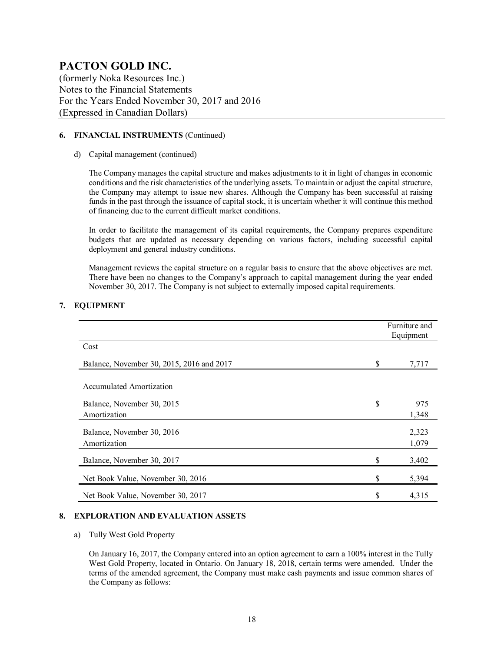(formerly Noka Resources Inc.) Notes to the Financial Statements For the Years Ended November 30, 2017 and 2016 (Expressed in Canadian Dollars)

#### **6. FINANCIAL INSTRUMENTS** (Continued)

#### d) Capital management (continued)

The Company manages the capital structure and makes adjustments to it in light of changes in economic conditions and the risk characteristics of the underlying assets. To maintain or adjust the capital structure, the Company may attempt to issue new shares. Although the Company has been successful at raising funds in the past through the issuance of capital stock, it is uncertain whether it will continue this method of financing due to the current difficult market conditions.

In order to facilitate the management of its capital requirements, the Company prepares expenditure budgets that are updated as necessary depending on various factors, including successful capital deployment and general industry conditions.

Management reviews the capital structure on a regular basis to ensure that the above objectives are met. There have been no changes to the Company's approach to capital management during the year ended November 30, 2017. The Company is not subject to externally imposed capital requirements.

#### **7. EQUIPMENT**

|                                           | Furniture and |
|-------------------------------------------|---------------|
|                                           | Equipment     |
| Cost                                      |               |
| Balance, November 30, 2015, 2016 and 2017 | \$<br>7,717   |
| Accumulated Amortization                  |               |
| Balance, November 30, 2015                | \$<br>975     |
| Amortization                              | 1,348         |
| Balance, November 30, 2016                | 2,323         |
| Amortization                              | 1,079         |
| Balance, November 30, 2017                | \$<br>3,402   |
| Net Book Value, November 30, 2016         | \$<br>5,394   |
| Net Book Value, November 30, 2017         | \$<br>4,315   |

#### **8. EXPLORATION AND EVALUATION ASSETS**

#### a) Tully West Gold Property

On January 16, 2017, the Company entered into an option agreement to earn a 100% interest in the Tully West Gold Property, located in Ontario. On January 18, 2018, certain terms were amended. Under the terms of the amended agreement, the Company must make cash payments and issue common shares of the Company as follows: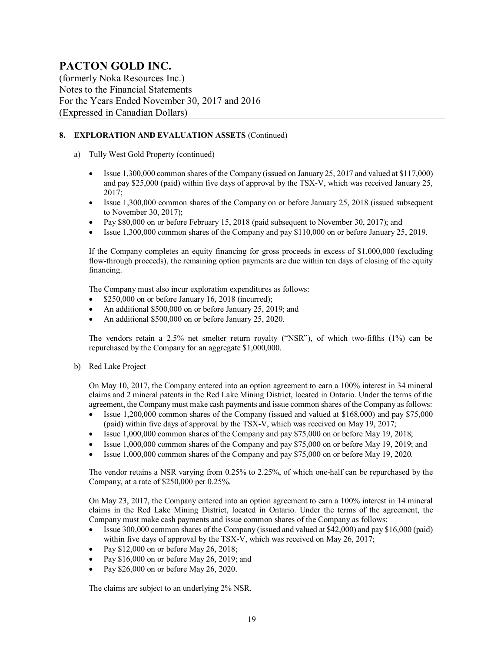(formerly Noka Resources Inc.) Notes to the Financial Statements For the Years Ended November 30, 2017 and 2016 (Expressed in Canadian Dollars)

#### **8. EXPLORATION AND EVALUATION ASSETS** (Continued)

- a) Tully West Gold Property (continued)
	- · Issue 1,300,000 common shares of the Company (issued on January 25, 2017 and valued at \$117,000) and pay \$25,000 (paid) within five days of approval by the TSX-V, which was received January 25, 2017;
	- · Issue 1,300,000 common shares of the Company on or before January 25, 2018 (issued subsequent to November 30, 2017);
	- Pay \$80,000 on or before February 15, 2018 (paid subsequent to November 30, 2017); and
	- · Issue 1,300,000 common shares of the Company and pay \$110,000 on or before January 25, 2019.

If the Company completes an equity financing for gross proceeds in excess of \$1,000,000 (excluding flow-through proceeds), the remaining option payments are due within ten days of closing of the equity financing.

The Company must also incur exploration expenditures as follows:

- \$250,000 on or before January 16, 2018 (incurred);
- An additional \$500,000 on or before January 25, 2019; and
- An additional \$500,000 on or before January 25, 2020.

The vendors retain a 2.5% net smelter return royalty ("NSR"), of which two-fifths (1%) can be repurchased by the Company for an aggregate \$1,000,000.

b) Red Lake Project

On May 10, 2017, the Company entered into an option agreement to earn a 100% interest in 34 mineral claims and 2 mineral patents in the Red Lake Mining District, located in Ontario. Under the terms of the agreement, the Company must make cash payments and issue common shares of the Company as follows:

- Issue 1,200,000 common shares of the Company (issued and valued at \$168,000) and pay \$75,000 (paid) within five days of approval by the TSX-V, which was received on May 19, 2017;
- · Issue 1,000,000 common shares of the Company and pay \$75,000 on or before May 19, 2018;
- · Issue 1,000,000 common shares of the Company and pay \$75,000 on or before May 19, 2019; and
- · Issue 1,000,000 common shares of the Company and pay \$75,000 on or before May 19, 2020.

The vendor retains a NSR varying from 0.25% to 2.25%, of which one-half can be repurchased by the Company, at a rate of \$250,000 per 0.25%.

On May 23, 2017, the Company entered into an option agreement to earn a 100% interest in 14 mineral claims in the Red Lake Mining District, located in Ontario. Under the terms of the agreement, the Company must make cash payments and issue common shares of the Company as follows:

- · Issue 300,000 common shares of the Company (issued and valued at \$42,000) and pay \$16,000 (paid) within five days of approval by the TSX-V, which was received on May 26, 2017;
- Pay  $$12,000$  on or before May 26, 2018;
- Pay \$16,000 on or before May 26, 2019; and
- Pay \$26,000 on or before May 26, 2020.

The claims are subject to an underlying 2% NSR.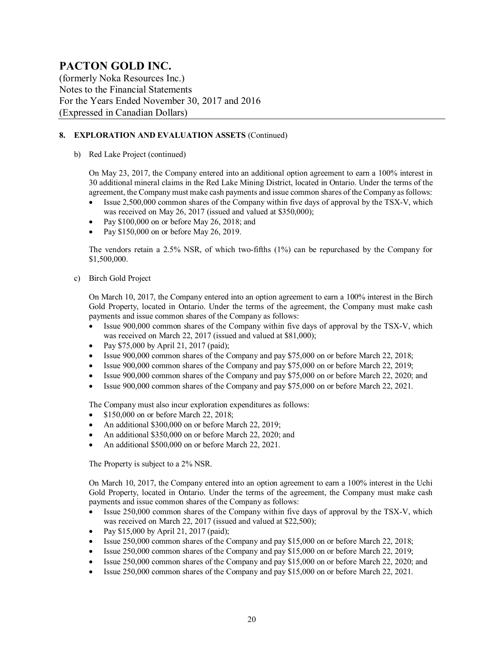(formerly Noka Resources Inc.) Notes to the Financial Statements For the Years Ended November 30, 2017 and 2016 (Expressed in Canadian Dollars)

#### **8. EXPLORATION AND EVALUATION ASSETS** (Continued)

b) Red Lake Project (continued)

On May 23, 2017, the Company entered into an additional option agreement to earn a 100% interest in 30 additional mineral claims in the Red Lake Mining District, located in Ontario. Under the terms of the agreement, the Company must make cash payments and issue common shares of the Company as follows:

- Issue 2,500,000 common shares of the Company within five days of approval by the TSX-V, which was received on May 26, 2017 (issued and valued at \$350,000);
- Pay \$100,000 on or before May 26, 2018; and
- Pay \$150,000 on or before May 26, 2019.

The vendors retain a 2.5% NSR, of which two-fifths (1%) can be repurchased by the Company for \$1,500,000.

c) Birch Gold Project

On March 10, 2017, the Company entered into an option agreement to earn a 100% interest in the Birch Gold Property, located in Ontario. Under the terms of the agreement, the Company must make cash payments and issue common shares of the Company as follows:

- Issue 900,000 common shares of the Company within five days of approval by the TSX-V, which was received on March 22, 2017 (issued and valued at \$81,000);
- Pay \$75,000 by April 21, 2017 (paid);
- · Issue 900,000 common shares of the Company and pay \$75,000 on or before March 22, 2018;
- · Issue 900,000 common shares of the Company and pay \$75,000 on or before March 22, 2019;
- · Issue 900,000 common shares of the Company and pay \$75,000 on or before March 22, 2020; and
- · Issue 900,000 common shares of the Company and pay \$75,000 on or before March 22, 2021.

The Company must also incur exploration expenditures as follows:

- \$150,000 on or before March 22, 2018;
- An additional \$300,000 on or before March 22, 2019;
- An additional \$350,000 on or before March 22, 2020; and
- An additional \$500,000 on or before March 22, 2021.

The Property is subject to a 2% NSR.

On March 10, 2017, the Company entered into an option agreement to earn a 100% interest in the Uchi Gold Property, located in Ontario. Under the terms of the agreement, the Company must make cash payments and issue common shares of the Company as follows:

- Issue 250,000 common shares of the Company within five days of approval by the TSX-V, which was received on March 22, 2017 (issued and valued at \$22,500);
- Pay \$15,000 by April 21, 2017 (paid);
- · Issue 250,000 common shares of the Company and pay \$15,000 on or before March 22, 2018;
- · Issue 250,000 common shares of the Company and pay \$15,000 on or before March 22, 2019;
- · Issue 250,000 common shares of the Company and pay \$15,000 on or before March 22, 2020; and
- · Issue 250,000 common shares of the Company and pay \$15,000 on or before March 22, 2021.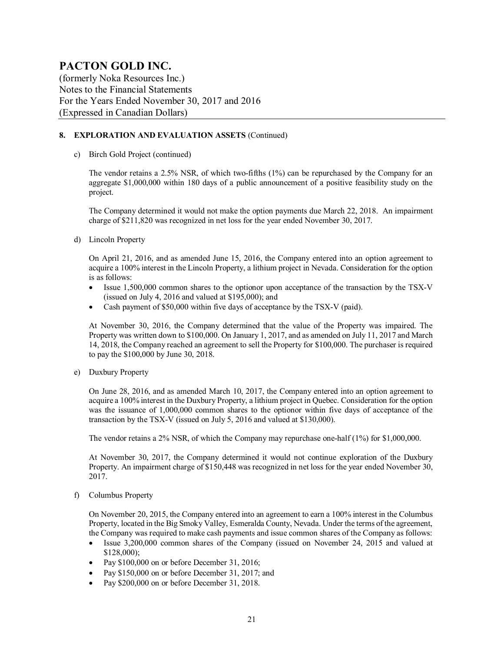(formerly Noka Resources Inc.) Notes to the Financial Statements For the Years Ended November 30, 2017 and 2016 (Expressed in Canadian Dollars)

#### **8. EXPLORATION AND EVALUATION ASSETS** (Continued)

c) Birch Gold Project (continued)

The vendor retains a 2.5% NSR, of which two-fifths (1%) can be repurchased by the Company for an aggregate \$1,000,000 within 180 days of a public announcement of a positive feasibility study on the project.

The Company determined it would not make the option payments due March 22, 2018. An impairment charge of \$211,820 was recognized in net loss for the year ended November 30, 2017.

d) Lincoln Property

On April 21, 2016, and as amended June 15, 2016, the Company entered into an option agreement to acquire a 100% interest in the Lincoln Property, a lithium project in Nevada. Consideration for the option is as follows:

- Issue 1,500,000 common shares to the optionor upon acceptance of the transaction by the TSX-V (issued on July 4, 2016 and valued at \$195,000); and
- Cash payment of \$50,000 within five days of acceptance by the TSX-V (paid).

At November 30, 2016, the Company determined that the value of the Property was impaired. The Property was written down to \$100,000. On January 1, 2017, and as amended on July 11, 2017 and March 14, 2018, the Company reached an agreement to sell the Property for \$100,000. The purchaser is required to pay the \$100,000 by June 30, 2018.

e) Duxbury Property

On June 28, 2016, and as amended March 10, 2017, the Company entered into an option agreement to acquire a 100% interest in the Duxbury Property, a lithium project in Quebec. Consideration for the option was the issuance of 1,000,000 common shares to the optionor within five days of acceptance of the transaction by the TSX-V (issued on July 5, 2016 and valued at \$130,000).

The vendor retains a 2% NSR, of which the Company may repurchase one-half (1%) for \$1,000,000.

At November 30, 2017, the Company determined it would not continue exploration of the Duxbury Property. An impairment charge of \$150,448 was recognized in net loss for the year ended November 30, 2017.

f) Columbus Property

On November 20, 2015, the Company entered into an agreement to earn a 100% interest in the Columbus Property, located in the Big Smoky Valley, Esmeralda County, Nevada. Under the terms of the agreement, the Company was required to make cash payments and issue common shares of the Company as follows:

- · Issue 3,200,000 common shares of the Company (issued on November 24, 2015 and valued at \$128,000);
- Pay \$100,000 on or before December 31, 2016;
- Pay \$150,000 on or before December 31, 2017; and
- Pay \$200,000 on or before December 31, 2018.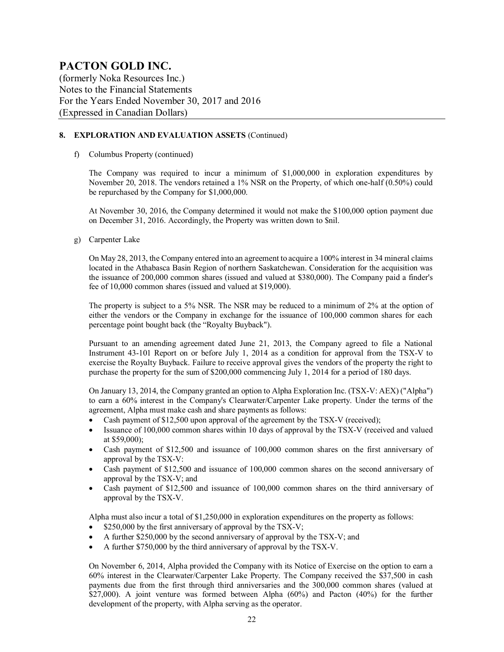(formerly Noka Resources Inc.) Notes to the Financial Statements For the Years Ended November 30, 2017 and 2016 (Expressed in Canadian Dollars)

#### **8. EXPLORATION AND EVALUATION ASSETS** (Continued)

f) Columbus Property (continued)

The Company was required to incur a minimum of \$1,000,000 in exploration expenditures by November 20, 2018. The vendors retained a 1% NSR on the Property, of which one-half (0.50%) could be repurchased by the Company for \$1,000,000.

At November 30, 2016, the Company determined it would not make the \$100,000 option payment due on December 31, 2016. Accordingly, the Property was written down to \$nil.

g) Carpenter Lake

On May 28, 2013, the Company entered into an agreement to acquire a 100% interest in 34 mineral claims located in the Athabasca Basin Region of northern Saskatchewan. Consideration for the acquisition was the issuance of 200,000 common shares (issued and valued at \$380,000). The Company paid a finder's fee of 10,000 common shares (issued and valued at \$19,000).

The property is subject to a 5% NSR. The NSR may be reduced to a minimum of 2% at the option of either the vendors or the Company in exchange for the issuance of 100,000 common shares for each percentage point bought back (the "Royalty Buyback").

Pursuant to an amending agreement dated June 21, 2013, the Company agreed to file a National Instrument 43-101 Report on or before July 1, 2014 as a condition for approval from the TSX-V to exercise the Royalty Buyback. Failure to receive approval gives the vendors of the property the right to purchase the property for the sum of \$200,000 commencing July 1, 2014 for a period of 180 days.

On January 13, 2014, the Company granted an option to Alpha Exploration Inc. (TSX-V: AEX) ("Alpha") to earn a 60% interest in the Company's Clearwater/Carpenter Lake property. Under the terms of the agreement, Alpha must make cash and share payments as follows:

- Cash payment of \$12,500 upon approval of the agreement by the TSX-V (received);
- · Issuance of 100,000 common shares within 10 days of approval by the TSX-V (received and valued at \$59,000);
- · Cash payment of \$12,500 and issuance of 100,000 common shares on the first anniversary of approval by the TSX-V:
- Cash payment of \$12,500 and issuance of 100,000 common shares on the second anniversary of approval by the TSX-V; and
- Cash payment of \$12,500 and issuance of 100,000 common shares on the third anniversary of approval by the TSX-V.

Alpha must also incur a total of \$1,250,000 in exploration expenditures on the property as follows:

- \$250,000 by the first anniversary of approval by the TSX-V;
- A further \$250,000 by the second anniversary of approval by the TSX-V; and
- A further \$750,000 by the third anniversary of approval by the TSX-V.

On November 6, 2014, Alpha provided the Company with its Notice of Exercise on the option to earn a 60% interest in the Clearwater/Carpenter Lake Property. The Company received the \$37,500 in cash payments due from the first through third anniversaries and the 300,000 common shares (valued at \$27,000). A joint venture was formed between Alpha (60%) and Pacton (40%) for the further development of the property, with Alpha serving as the operator.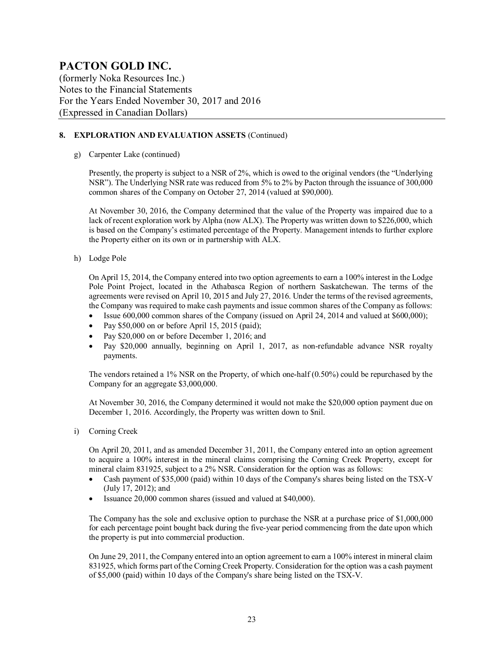(formerly Noka Resources Inc.) Notes to the Financial Statements For the Years Ended November 30, 2017 and 2016 (Expressed in Canadian Dollars)

#### **8. EXPLORATION AND EVALUATION ASSETS** (Continued)

g) Carpenter Lake (continued)

Presently, the property is subject to a NSR of 2%, which is owed to the original vendors (the "Underlying NSR"). The Underlying NSR rate was reduced from 5% to 2% by Pacton through the issuance of 300,000 common shares of the Company on October 27, 2014 (valued at \$90,000).

At November 30, 2016, the Company determined that the value of the Property was impaired due to a lack of recent exploration work by Alpha (now ALX). The Property was written down to \$226,000, which is based on the Company's estimated percentage of the Property. Management intends to further explore the Property either on its own or in partnership with ALX.

h) Lodge Pole

On April 15, 2014, the Company entered into two option agreements to earn a 100% interest in the Lodge Pole Point Project, located in the Athabasca Region of northern Saskatchewan. The terms of the agreements were revised on April 10, 2015 and July 27, 2016. Under the terms of the revised agreements, the Company was required to make cash payments and issue common shares of the Company as follows:

- Issue 600,000 common shares of the Company (issued on April 24, 2014 and valued at \$600,000);
- Pay \$50,000 on or before April 15, 2015 (paid);
- Pay \$20,000 on or before December 1, 2016; and
- Pay \$20,000 annually, beginning on April 1, 2017, as non-refundable advance NSR royalty payments.

The vendors retained a 1% NSR on the Property, of which one-half (0.50%) could be repurchased by the Company for an aggregate \$3,000,000.

At November 30, 2016, the Company determined it would not make the \$20,000 option payment due on December 1, 2016. Accordingly, the Property was written down to \$nil.

i) Corning Creek

On April 20, 2011, and as amended December 31, 2011, the Company entered into an option agreement to acquire a 100% interest in the mineral claims comprising the Corning Creek Property, except for mineral claim 831925, subject to a 2% NSR. Consideration for the option was as follows:

- Cash payment of \$35,000 (paid) within 10 days of the Company's shares being listed on the TSX-V (July 17, 2012); and
- Issuance 20,000 common shares (issued and valued at \$40,000).

The Company has the sole and exclusive option to purchase the NSR at a purchase price of \$1,000,000 for each percentage point bought back during the five-year period commencing from the date upon which the property is put into commercial production.

On June 29, 2011, the Company entered into an option agreement to earn a 100% interest in mineral claim 831925, which forms part of the Corning Creek Property. Consideration for the option was a cash payment of \$5,000 (paid) within 10 days of the Company's share being listed on the TSX-V.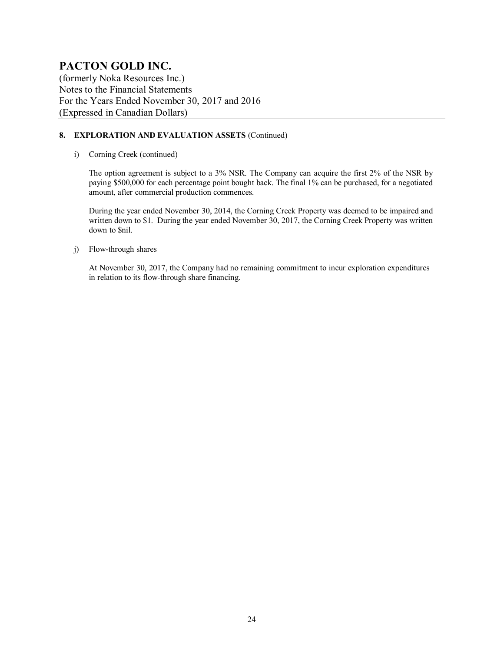(formerly Noka Resources Inc.) Notes to the Financial Statements For the Years Ended November 30, 2017 and 2016 (Expressed in Canadian Dollars)

#### **8. EXPLORATION AND EVALUATION ASSETS** (Continued)

i) Corning Creek (continued)

The option agreement is subject to a 3% NSR. The Company can acquire the first 2% of the NSR by paying \$500,000 for each percentage point bought back. The final 1% can be purchased, for a negotiated amount, after commercial production commences.

During the year ended November 30, 2014, the Corning Creek Property was deemed to be impaired and written down to \$1. During the year ended November 30, 2017, the Corning Creek Property was written down to \$nil.

j) Flow-through shares

At November 30, 2017, the Company had no remaining commitment to incur exploration expenditures in relation to its flow-through share financing.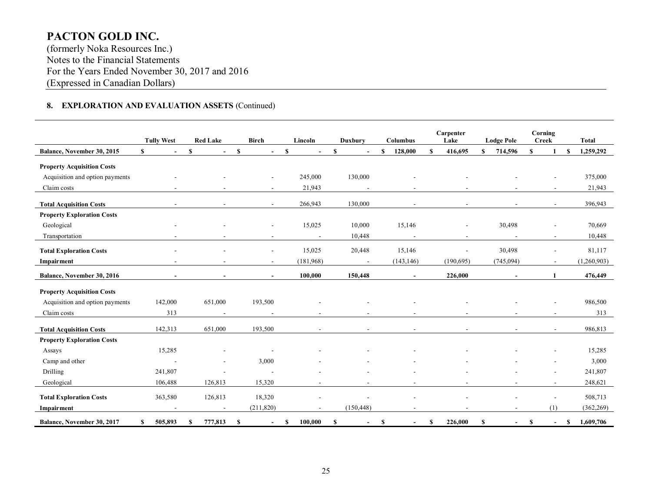(formerly Noka Resources Inc.) Notes to the Financial Statements For the Years Ended November 30, 2017 and 2016 (Expressed in Canadian Dollars)

#### **8. EXPLORATION AND EVALUATION ASSETS** (Continued)

|                                   | <b>Tully West</b>        | <b>Red Lake</b>          | <b>Birch</b>             | Lincoln                  | <b>Duxbury</b>                 | Columbus                | Carpenter<br>Lake        | <b>Lodge Pole</b>        | Corning<br><b>Creek</b>  | <b>Total</b>      |
|-----------------------------------|--------------------------|--------------------------|--------------------------|--------------------------|--------------------------------|-------------------------|--------------------------|--------------------------|--------------------------|-------------------|
| Balance, November 30, 2015        | \$<br>$\sim$             | $\mathbf{s}$<br>$\sim$   | $\mathbf{s}$<br>$\sim$   | \$<br>$\sim$             | $\mathbf{s}$<br>$\overline{a}$ | $\mathbf{s}$<br>128,000 | $\mathbf{s}$<br>416,695  | 714,596<br>S             | \$                       | 1,259,292<br>S    |
|                                   |                          |                          |                          |                          |                                |                         |                          |                          |                          |                   |
| <b>Property Acquisition Costs</b> |                          |                          |                          |                          |                                |                         |                          |                          |                          |                   |
| Acquisition and option payments   |                          |                          |                          | 245,000                  | 130,000                        |                         |                          |                          |                          | 375,000           |
| Claim costs                       |                          |                          |                          | 21,943                   |                                |                         |                          |                          |                          | 21,943            |
| <b>Total Acquisition Costs</b>    |                          |                          |                          | 266,943                  | 130,000                        |                         |                          |                          |                          | 396,943           |
| <b>Property Exploration Costs</b> |                          |                          |                          |                          |                                |                         |                          |                          |                          |                   |
| Geological                        |                          |                          |                          | 15,025                   | 10,000                         | 15,146                  |                          | 30,498                   |                          | 70,669            |
| Transportation                    |                          |                          |                          | $\overline{\phantom{a}}$ | 10,448                         | $\blacksquare$          | $\blacksquare$           | $\overline{\phantom{a}}$ | $\overline{\phantom{a}}$ | 10,448            |
| <b>Total Exploration Costs</b>    |                          |                          |                          | 15,025                   | 20,448                         | 15,146                  |                          | 30,498                   |                          | 81,117            |
| Impairment                        |                          |                          | $\overline{\phantom{a}}$ | (181,968)                |                                | (143, 146)              | (190, 695)               | (745, 094)               |                          | (1,260,903)       |
| Balance, November 30, 2016        |                          |                          | $\overline{\phantom{a}}$ | 100,000                  | 150,448                        |                         | 226,000                  |                          |                          | 476,449           |
| <b>Property Acquisition Costs</b> |                          |                          |                          |                          |                                |                         |                          |                          |                          |                   |
| Acquisition and option payments   | 142,000                  | 651,000                  | 193,500                  |                          |                                |                         |                          |                          |                          | 986,500           |
| Claim costs                       | 313                      | $\overline{\phantom{a}}$ | $\overline{\phantom{a}}$ | $\sim$                   | $\overline{\phantom{a}}$       | $\sim$                  | $\overline{\phantom{a}}$ |                          | $\overline{\phantom{a}}$ | 313               |
| <b>Total Acquisition Costs</b>    | 142,313                  | 651,000                  | 193,500                  | $\sim$                   | $\sim$                         | $\sim$                  | $\sim$                   | $\sim$                   | $\sim$                   | 986,813           |
| <b>Property Exploration Costs</b> |                          |                          |                          |                          |                                |                         |                          |                          |                          |                   |
| Assays                            | 15,285                   |                          |                          |                          |                                |                         |                          |                          |                          | 15,285            |
| Camp and other                    | $\overline{\phantom{a}}$ |                          | 3,000                    |                          |                                |                         |                          |                          |                          | 3,000             |
| Drilling                          | 241,807                  |                          |                          |                          |                                |                         |                          |                          |                          | 241,807           |
| Geological                        | 106,488                  | 126,813                  | 15,320                   |                          |                                |                         |                          |                          |                          | 248,621           |
|                                   |                          |                          |                          |                          |                                |                         |                          |                          |                          |                   |
| <b>Total Exploration Costs</b>    | 363,580                  | 126,813                  | 18,320                   |                          |                                |                         |                          |                          |                          | 508,713           |
| Impairment                        | $\blacksquare$           | $\sim$                   | (211,820)                |                          | (150, 448)                     |                         |                          | $\overline{\phantom{a}}$ | (1)                      | (362, 269)        |
| Balance, November 30, 2017        | 505,893<br>S.            | 777,813<br>S             | -S<br>$\sim$             | 100,000<br>\$            | <b>S</b><br>$\sim$             | S<br>$\sim$             | <b>S</b><br>226,000      | S<br>$\sim$              | - \$<br>$\sim$           | 1,609,706<br>- \$ |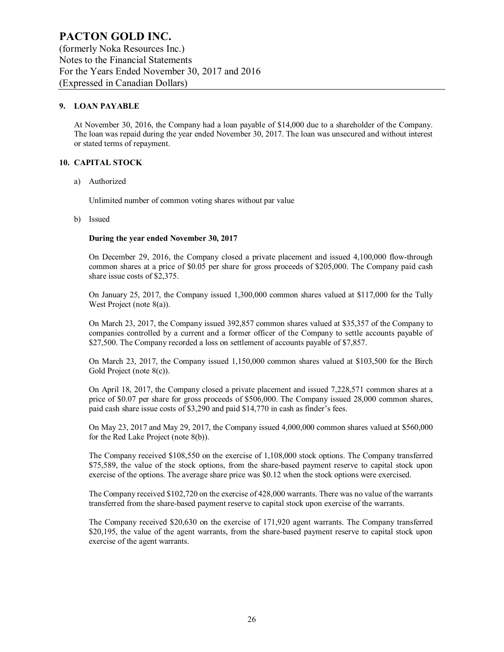(formerly Noka Resources Inc.) Notes to the Financial Statements For the Years Ended November 30, 2017 and 2016 (Expressed in Canadian Dollars)

#### **9. LOAN PAYABLE**

At November 30, 2016, the Company had a loan payable of \$14,000 due to a shareholder of the Company. The loan was repaid during the year ended November 30, 2017. The loan was unsecured and without interest or stated terms of repayment.

#### **10. CAPITAL STOCK**

a) Authorized

Unlimited number of common voting shares without par value

b) Issued

#### **During the year ended November 30, 2017**

On December 29, 2016, the Company closed a private placement and issued 4,100,000 flow-through common shares at a price of \$0.05 per share for gross proceeds of \$205,000. The Company paid cash share issue costs of \$2,375.

On January 25, 2017, the Company issued 1,300,000 common shares valued at \$117,000 for the Tully West Project (note 8(a)).

On March 23, 2017, the Company issued 392,857 common shares valued at \$35,357 of the Company to companies controlled by a current and a former officer of the Company to settle accounts payable of \$27,500. The Company recorded a loss on settlement of accounts payable of \$7,857.

On March 23, 2017, the Company issued 1,150,000 common shares valued at \$103,500 for the Birch Gold Project (note 8(c)).

On April 18, 2017, the Company closed a private placement and issued 7,228,571 common shares at a price of \$0.07 per share for gross proceeds of \$506,000. The Company issued 28,000 common shares, paid cash share issue costs of \$3,290 and paid \$14,770 in cash as finder's fees.

On May 23, 2017 and May 29, 2017, the Company issued 4,000,000 common shares valued at \$560,000 for the Red Lake Project (note 8(b)).

The Company received \$108,550 on the exercise of 1,108,000 stock options. The Company transferred \$75,589, the value of the stock options, from the share-based payment reserve to capital stock upon exercise of the options. The average share price was \$0.12 when the stock options were exercised.

The Company received \$102,720 on the exercise of 428,000 warrants. There was no value of the warrants transferred from the share-based payment reserve to capital stock upon exercise of the warrants.

The Company received \$20,630 on the exercise of 171,920 agent warrants. The Company transferred \$20,195, the value of the agent warrants, from the share-based payment reserve to capital stock upon exercise of the agent warrants.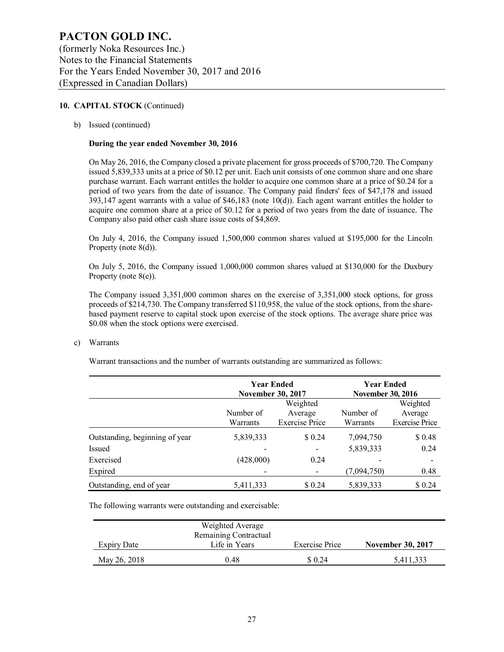(formerly Noka Resources Inc.) Notes to the Financial Statements For the Years Ended November 30, 2017 and 2016 (Expressed in Canadian Dollars)

#### **10. CAPITAL STOCK** (Continued)

b) Issued (continued)

#### **During the year ended November 30, 2016**

On May 26, 2016, the Company closed a private placement for gross proceeds of \$700,720. The Company issued 5,839,333 units at a price of \$0.12 per unit. Each unit consists of one common share and one share purchase warrant. Each warrant entitles the holder to acquire one common share at a price of \$0.24 for a period of two years from the date of issuance. The Company paid finders' fees of \$47,178 and issued 393,147 agent warrants with a value of \$46,183 (note 10(d)). Each agent warrant entitles the holder to acquire one common share at a price of \$0.12 for a period of two years from the date of issuance. The Company also paid other cash share issue costs of \$4,869.

On July 4, 2016, the Company issued 1,500,000 common shares valued at \$195,000 for the Lincoln Property (note 8(d)).

On July 5, 2016, the Company issued 1,000,000 common shares valued at \$130,000 for the Duxbury Property (note 8(e)).

The Company issued 3,351,000 common shares on the exercise of 3,351,000 stock options, for gross proceeds of \$214,730. The Company transferred \$110,958, the value of the stock options, from the sharebased payment reserve to capital stock upon exercise of the stock options. The average share price was \$0.08 when the stock options were exercised.

#### c) Warrants

Warrant transactions and the number of warrants outstanding are summarized as follows:

|                                | <b>Year Ended</b><br><b>November 30, 2017</b> |                                              | <b>Year Ended</b><br><b>November 30, 2016</b> |                                              |
|--------------------------------|-----------------------------------------------|----------------------------------------------|-----------------------------------------------|----------------------------------------------|
|                                | Number of<br>Warrants                         | Weighted<br>Average<br><b>Exercise Price</b> | Number of<br>Warrants                         | Weighted<br>Average<br><b>Exercise Price</b> |
| Outstanding, beginning of year | 5,839,333                                     | \$0.24                                       | 7,094,750                                     | \$0.48                                       |
| Issued                         |                                               |                                              | 5,839,333                                     | 0.24                                         |
| Exercised                      | (428,000)                                     | 0.24                                         |                                               |                                              |
| Expired                        |                                               |                                              | (7,094,750)                                   | 0.48                                         |
| Outstanding, end of year       | 5,411,333                                     | \$ 0.24                                      | 5,839,333                                     | \$0.24                                       |

The following warrants were outstanding and exercisable:

|                    | Weighted Average      |                |                          |
|--------------------|-----------------------|----------------|--------------------------|
|                    | Remaining Contractual |                |                          |
| <b>Expiry Date</b> | Life in Years         | Exercise Price | <b>November 30, 2017</b> |
| May 26, 2018       | 0.48                  | \$ 0.24        | 5,411,333                |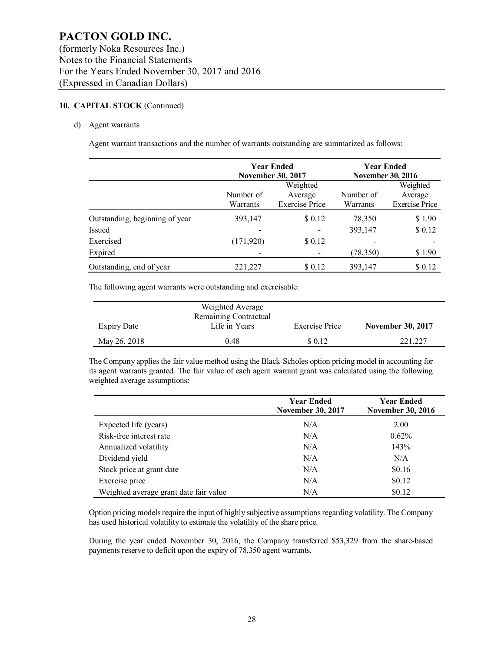#### **10. CAPITAL STOCK** (Continued)

#### d) Agent warrants

Agent warrant transactions and the number of warrants outstanding are summarized as follows:

|                                |                          | <b>Year Ended</b><br><b>November 30, 2017</b> |                       | <b>Year Ended</b><br><b>November 30, 2016</b> |
|--------------------------------|--------------------------|-----------------------------------------------|-----------------------|-----------------------------------------------|
|                                | Number of<br>Warrants    | Weighted<br>Average<br><b>Exercise Price</b>  | Number of<br>Warrants | Weighted<br>Average<br><b>Exercise Price</b>  |
| Outstanding, beginning of year | 393,147                  | \$ 0.12                                       | 78,350                | \$1.90                                        |
| Issued                         |                          |                                               | 393,147               | \$0.12                                        |
| Exercised                      | (171, 920)               | \$ 0.12                                       |                       |                                               |
| Expired                        | $\overline{\phantom{a}}$ |                                               | (78, 350)             | \$1.90                                        |
| Outstanding, end of year       | 221,227                  | \$ 0.12                                       | 393,147               | \$ 0.12                                       |

The following agent warrants were outstanding and exercisable:

|                    | Weighted Average<br>Remaining Contractual |                |                          |
|--------------------|-------------------------------------------|----------------|--------------------------|
| <b>Expiry Date</b> | Life in Years                             | Exercise Price | <b>November 30, 2017</b> |
| May 26, 2018       | 0.48                                      | \$ 0.12        | 221.227                  |

The Company applies the fair value method using the Black-Scholes option pricing model in accounting for its agent warrants granted. The fair value of each agent warrant grant was calculated using the following weighted average assumptions:

|                                        | <b>Year Ended</b><br><b>November 30, 2017</b> | <b>Year Ended</b><br><b>November 30, 2016</b> |
|----------------------------------------|-----------------------------------------------|-----------------------------------------------|
| Expected life (years)                  | N/A                                           | 2.00                                          |
| Risk-free interest rate                | N/A                                           | $0.62\%$                                      |
| Annualized volatility                  | N/A                                           | 143%                                          |
| Dividend yield                         | N/A                                           | N/A                                           |
| Stock price at grant date              | N/A                                           | \$0.16                                        |
| Exercise price                         | N/A                                           | \$0.12                                        |
| Weighted average grant date fair value | N/A                                           | \$0.12                                        |

Option pricing models require the input of highly subjective assumptions regarding volatility. The Company has used historical volatility to estimate the volatility of the share price.

During the year ended November 30, 2016, the Company transferred \$53,329 from the share-based payments reserve to deficit upon the expiry of 78,350 agent warrants.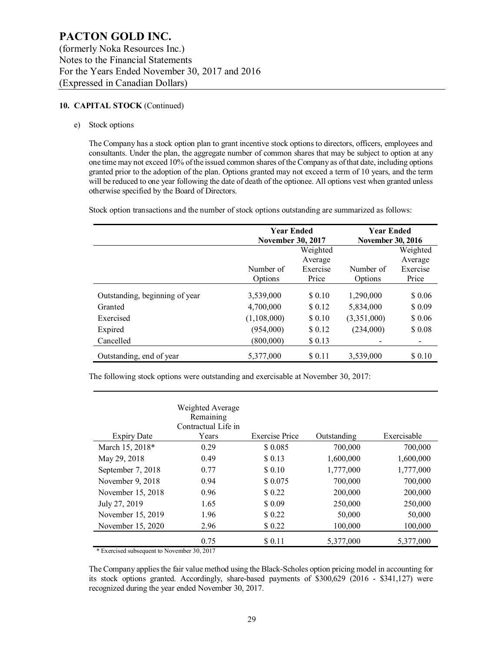#### **10. CAPITAL STOCK** (Continued)

e) Stock options

The Company has a stock option plan to grant incentive stock options to directors, officers, employees and consultants. Under the plan, the aggregate number of common shares that may be subject to option at any one time may not exceed 10% of the issued common shares of the Company as of that date, including options granted prior to the adoption of the plan. Options granted may not exceed a term of 10 years, and the term will be reduced to one year following the date of death of the optionee. All options vest when granted unless otherwise specified by the Board of Directors.

Stock option transactions and the number of stock options outstanding are summarized as follows:

|                                | <b>Year Ended</b><br><b>November 30, 2017</b> |          | <b>Year Ended</b><br><b>November 30, 2016</b> |          |  |
|--------------------------------|-----------------------------------------------|----------|-----------------------------------------------|----------|--|
|                                |                                               | Weighted |                                               | Weighted |  |
|                                |                                               | Average  |                                               | Average  |  |
|                                | Number of                                     | Exercise | Number of                                     | Exercise |  |
|                                | Options                                       | Price    | Options                                       | Price    |  |
| Outstanding, beginning of year | 3,539,000                                     | \$ 0.10  | 1,290,000                                     | \$ 0.06  |  |
| Granted                        | 4,700,000                                     | \$ 0.12  | 5,834,000                                     | \$0.09   |  |
| Exercised                      | (1,108,000)                                   | \$ 0.10  | (3,351,000)                                   | \$ 0.06  |  |
| Expired                        | (954,000)                                     | \$ 0.12  | (234,000)                                     | \$ 0.08  |  |
| Cancelled                      | (800,000)                                     | \$ 0.13  |                                               |          |  |
| Outstanding, end of year       | 5,377,000                                     | \$ 0.11  | 3,539,000                                     | \$ 0.10  |  |

The following stock options were outstanding and exercisable at November 30, 2017:

| <b>Expiry Date</b> | Weighted Average<br>Remaining<br>Contractual Life in<br>Years | <b>Exercise Price</b> | Outstanding | Exercisable |
|--------------------|---------------------------------------------------------------|-----------------------|-------------|-------------|
| March 15, 2018*    | 0.29                                                          | \$0.085               | 700,000     | 700,000     |
| May 29, 2018       | 0.49                                                          | \$ 0.13               | 1,600,000   | 1,600,000   |
| September 7, 2018  | 0.77                                                          | \$ 0.10               | 1,777,000   | 1,777,000   |
| November 9, 2018   | 0.94                                                          | \$ 0.075              | 700,000     | 700,000     |
| November 15, 2018  | 0.96                                                          | \$0.22                | 200,000     | 200,000     |
| July 27, 2019      | 1.65                                                          | \$0.09                | 250,000     | 250,000     |
| November 15, 2019  | 1.96                                                          | \$ 0.22               | 50,000      | 50,000      |
| November 15, 2020  | 2.96                                                          | \$ 0.22               | 100,000     | 100,000     |
|                    | 0.75                                                          | \$ 0.11               | 5,377,000   | 5,377,000   |

\* Exercised subsequent to November 30, 2017

The Company applies the fair value method using the Black-Scholes option pricing model in accounting for its stock options granted. Accordingly, share-based payments of \$300,629 (2016 - \$341,127) were recognized during the year ended November 30, 2017.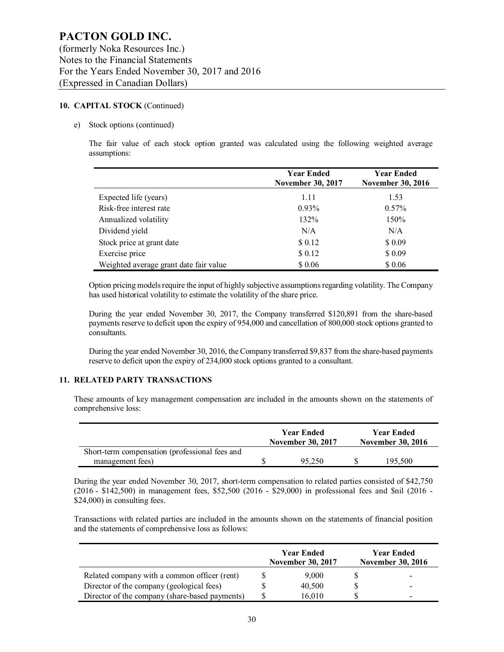#### **10. CAPITAL STOCK** (Continued)

e) Stock options (continued)

The fair value of each stock option granted was calculated using the following weighted average assumptions:

|                                        | <b>Year Ended</b><br><b>November 30, 2017</b> | <b>Year Ended</b><br><b>November 30, 2016</b> |
|----------------------------------------|-----------------------------------------------|-----------------------------------------------|
| Expected life (years)                  | 1.11                                          | 1.53                                          |
| Risk-free interest rate                | $0.93\%$                                      | $0.57\%$                                      |
| Annualized volatility                  | 132%                                          | 150%                                          |
| Dividend yield                         | N/A                                           | N/A                                           |
| Stock price at grant date              | \$ 0.12                                       | \$0.09                                        |
| Exercise price                         | \$0.12                                        | \$0.09                                        |
| Weighted average grant date fair value | \$0.06                                        | \$0.06                                        |

Option pricing models require the input of highly subjective assumptions regarding volatility. The Company has used historical volatility to estimate the volatility of the share price.

During the year ended November 30, 2017, the Company transferred \$120,891 from the share-based payments reserve to deficit upon the expiry of 954,000 and cancellation of 800,000 stock options granted to consultants.

During the year ended November 30, 2016, the Company transferred \$9,837 from the share-based payments reserve to deficit upon the expiry of 234,000 stock options granted to a consultant.

#### **11. RELATED PARTY TRANSACTIONS**

These amounts of key management compensation are included in the amounts shown on the statements of comprehensive loss:

|                                                | <b>Year Ended</b><br><b>November 30, 2017</b> | <b>Year Ended</b><br><b>November 30, 2016</b> |         |  |
|------------------------------------------------|-----------------------------------------------|-----------------------------------------------|---------|--|
| Short-term compensation (professional fees and |                                               |                                               |         |  |
| management fees)                               | 95.250                                        |                                               | 195.500 |  |

During the year ended November 30, 2017, short-term compensation to related parties consisted of \$42,750 (2016 - \$142,500) in management fees, \$52,500 (2016 - \$29,000) in professional fees and \$nil (2016 - \$24,000) in consulting fees.

Transactions with related parties are included in the amounts shown on the statements of financial position and the statements of comprehensive loss as follows:

|                                                | <b>Year Ended</b><br><b>November 30, 2017</b> | <b>Year Ended</b><br><b>November 30, 2016</b> |                          |  |
|------------------------------------------------|-----------------------------------------------|-----------------------------------------------|--------------------------|--|
| Related company with a common officer (rent)   | 9.000                                         |                                               | $\sim$                   |  |
| Director of the company (geological fees)      | 40.500                                        |                                               | $\overline{\phantom{a}}$ |  |
| Director of the company (share-based payments) | 16.010                                        |                                               | $\overline{\phantom{a}}$ |  |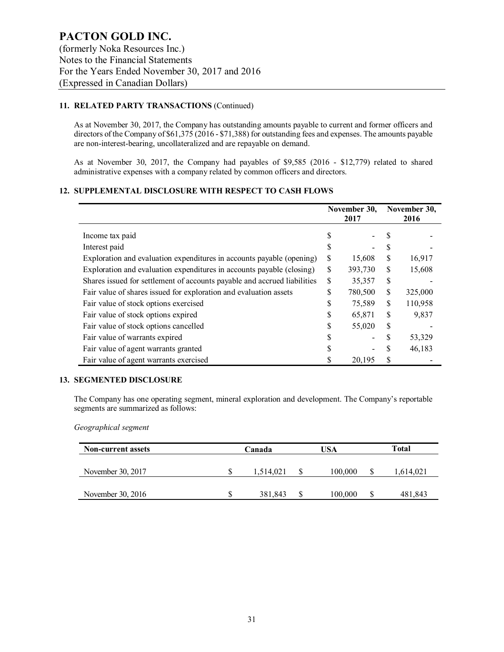#### **11. RELATED PARTY TRANSACTIONS** (Continued)

As at November 30, 2017, the Company has outstanding amounts payable to current and former officers and directors of the Company of \$61,375 (2016 - \$71,388) for outstanding fees and expenses. The amounts payable are non-interest-bearing, uncollateralized and are repayable on demand.

As at November 30, 2017, the Company had payables of \$9,585 (2016 - \$12,779) related to shared administrative expenses with a company related by common officers and directors.

#### **12. SUPPLEMENTAL DISCLOSURE WITH RESPECT TO CASH FLOWS**

|                                                                          |    | November 30,<br>2017 |    | November 30,<br>2016 |
|--------------------------------------------------------------------------|----|----------------------|----|----------------------|
| Income tax paid                                                          |    |                      |    |                      |
| Interest paid                                                            |    |                      |    |                      |
| Exploration and evaluation expenditures in accounts payable (opening)    | S  | 15,608               | S  | 16,917               |
| Exploration and evaluation expenditures in accounts payable (closing)    | \$ | 393,730              | \$ | 15,608               |
| Shares issued for settlement of accounts payable and accrued liabilities | \$ | 35,357               | \$ |                      |
| Fair value of shares issued for exploration and evaluation assets        | \$ | 780,500              | \$ | 325,000              |
| Fair value of stock options exercised                                    |    | 75,589               | \$ | 110,958              |
| Fair value of stock options expired                                      |    | 65,871               | \$ | 9,837                |
| Fair value of stock options cancelled                                    |    | 55,020               | \$ |                      |
| Fair value of warrants expired                                           |    |                      |    | 53,329               |
| Fair value of agent warrants granted                                     |    |                      | S  | 46,183               |
| Fair value of agent warrants exercised                                   |    | 20,195               | \$ |                      |

#### **13. SEGMENTED DISCLOSURE**

The Company has one operating segment, mineral exploration and development. The Company's reportable segments are summarized as follows:

#### *Geographical segment*

| <b>Non-current assets</b> | USA<br>Canada |    | Total   |  |           |
|---------------------------|---------------|----|---------|--|-----------|
|                           |               |    |         |  |           |
| November 30, 2017         | 1.514.021     |    | 100,000 |  | 1,614,021 |
|                           |               |    |         |  |           |
| November 30, 2016         | 381,843       | \$ | 100,000 |  | 481,843   |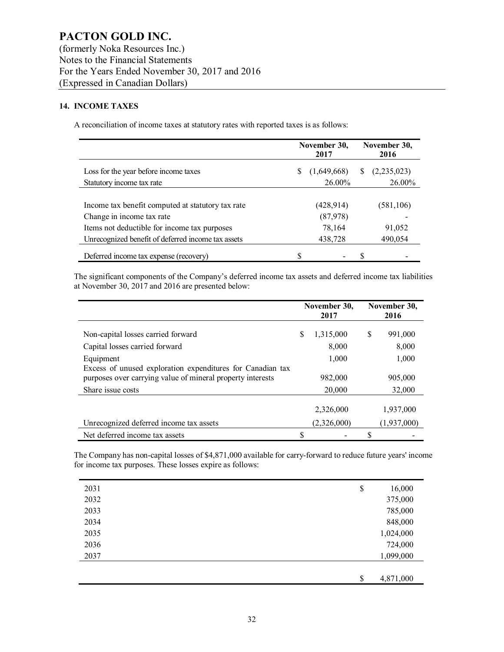#### **14. INCOME TAXES**

A reconciliation of income taxes at statutory rates with reported taxes is as follows:

|                                                                                | November 30,<br>2017 |                        |   | November 30,<br>2016 |
|--------------------------------------------------------------------------------|----------------------|------------------------|---|----------------------|
| Loss for the year before income taxes                                          | S                    | (1,649,668)            | S | (2,235,023)          |
| Statutory income tax rate                                                      |                      | 26.00%                 |   | 26.00%               |
|                                                                                |                      |                        |   |                      |
| Income tax benefit computed at statutory tax rate<br>Change in income tax rate |                      | (428, 914)<br>(87,978) |   | (581, 106)           |
| Items not deductible for income tax purposes                                   |                      | 78,164                 |   | 91,052               |
| Unrecognized benefit of deferred income tax assets                             |                      | 438,728                |   | 490,054              |
| Deferred income tax expense (recovery)                                         |                      |                        |   |                      |

The significant components of the Company's deferred income tax assets and deferred income tax liabilities at November 30, 2017 and 2016 are presented below:

|                                                                         | November 30,<br>2017 |    | November 30,<br>2016 |
|-------------------------------------------------------------------------|----------------------|----|----------------------|
| Non-capital losses carried forward                                      | \$<br>1,315,000      | S  | 991,000              |
| Capital losses carried forward                                          | 8,000                |    | 8,000                |
| Equipment<br>Excess of unused exploration expenditures for Canadian tax | 1,000                |    | 1,000                |
| purposes over carrying value of mineral property interests              | 982,000              |    | 905,000              |
| Share issue costs                                                       | 20,000               |    | 32,000               |
|                                                                         | 2,326,000            |    | 1,937,000            |
| Unrecognized deferred income tax assets                                 | (2,326,000)          |    | (1,937,000)          |
| Net deferred income tax assets                                          | \$                   | \$ |                      |

The Company has non-capital losses of \$4,871,000 available for carry-forward to reduce future years' income for income tax purposes. These losses expire as follows:

| 2031 | \$<br>16,000    |
|------|-----------------|
| 2032 | 375,000         |
| 2033 | 785,000         |
| 2034 | 848,000         |
| 2035 | 1,024,000       |
| 2036 | 724,000         |
| 2037 | 1,099,000       |
|      |                 |
|      | \$<br>4,871,000 |